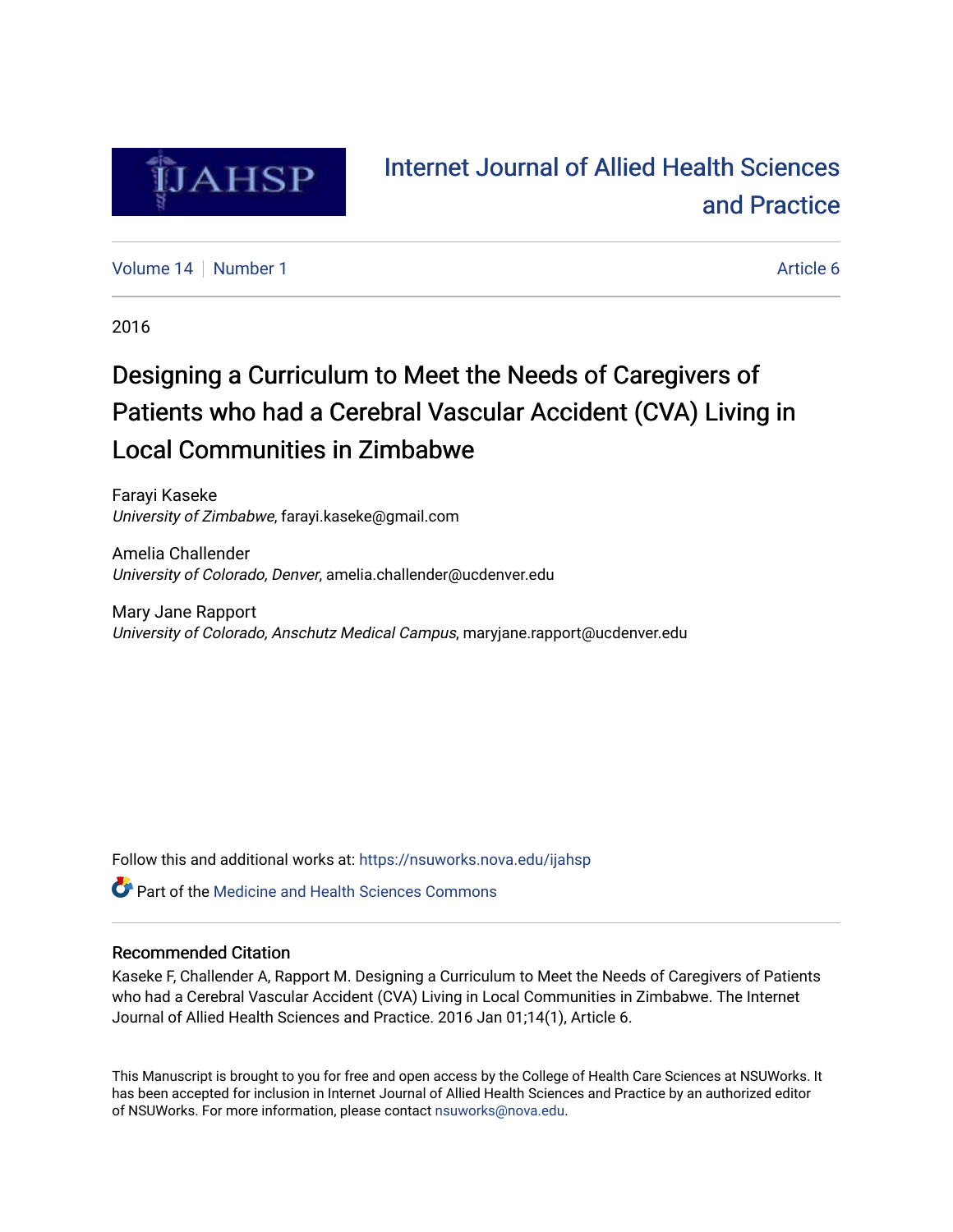

# [Internet Journal of Allied Health Sciences](https://nsuworks.nova.edu/ijahsp)  [and Practice](https://nsuworks.nova.edu/ijahsp)

[Volume 14](https://nsuworks.nova.edu/ijahsp/vol14) | [Number 1](https://nsuworks.nova.edu/ijahsp/vol14/iss1) Article 6

2016

# Designing a Curriculum to Meet the Needs of Caregivers of Patients who had a Cerebral Vascular Accident (CVA) Living in Local Communities in Zimbabwe

Farayi Kaseke University of Zimbabwe, farayi.kaseke@gmail.com

Amelia Challender University of Colorado, Denver, amelia.challender@ucdenver.edu

Mary Jane Rapport University of Colorado, Anschutz Medical Campus, maryjane.rapport@ucdenver.edu

Follow this and additional works at: [https://nsuworks.nova.edu/ijahsp](https://nsuworks.nova.edu/ijahsp?utm_source=nsuworks.nova.edu%2Fijahsp%2Fvol14%2Fiss1%2F6&utm_medium=PDF&utm_campaign=PDFCoverPages) 

**C** Part of the Medicine and Health Sciences Commons

#### Recommended Citation

Kaseke F, Challender A, Rapport M. Designing a Curriculum to Meet the Needs of Caregivers of Patients who had a Cerebral Vascular Accident (CVA) Living in Local Communities in Zimbabwe. The Internet Journal of Allied Health Sciences and Practice. 2016 Jan 01;14(1), Article 6.

This Manuscript is brought to you for free and open access by the College of Health Care Sciences at NSUWorks. It has been accepted for inclusion in Internet Journal of Allied Health Sciences and Practice by an authorized editor of NSUWorks. For more information, please contact [nsuworks@nova.edu.](mailto:nsuworks@nova.edu)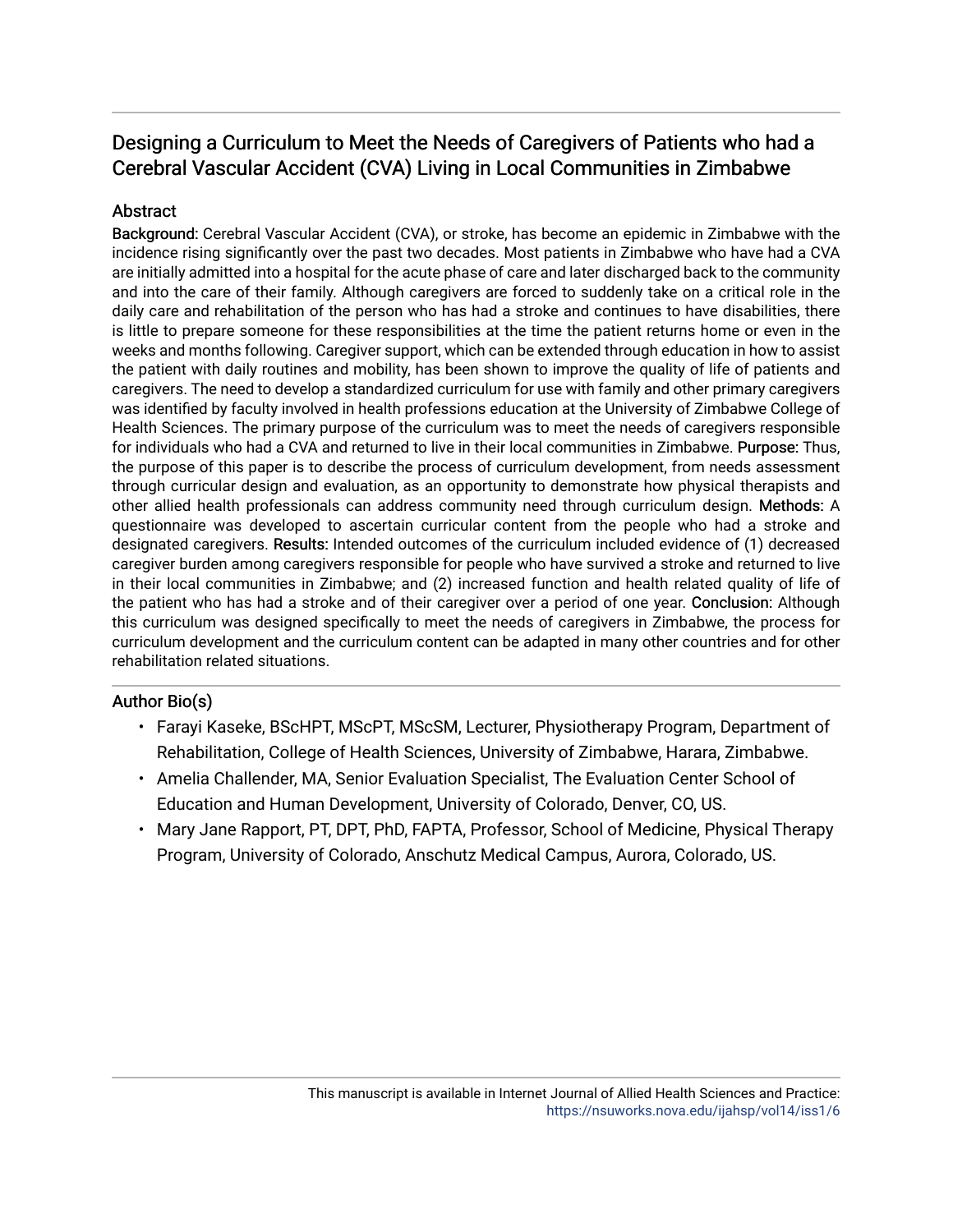### Abstract

Background: Cerebral Vascular Accident (CVA), or stroke, has become an epidemic in Zimbabwe with the incidence rising significantly over the past two decades. Most patients in Zimbabwe who have had a CVA are initially admitted into a hospital for the acute phase of care and later discharged back to the community and into the care of their family. Although caregivers are forced to suddenly take on a critical role in the daily care and rehabilitation of the person who has had a stroke and continues to have disabilities, there is little to prepare someone for these responsibilities at the time the patient returns home or even in the weeks and months following. Caregiver support, which can be extended through education in how to assist the patient with daily routines and mobility, has been shown to improve the quality of life of patients and caregivers. The need to develop a standardized curriculum for use with family and other primary caregivers was identified by faculty involved in health professions education at the University of Zimbabwe College of Health Sciences. The primary purpose of the curriculum was to meet the needs of caregivers responsible for individuals who had a CVA and returned to live in their local communities in Zimbabwe. Purpose: Thus, the purpose of this paper is to describe the process of curriculum development, from needs assessment through curricular design and evaluation, as an opportunity to demonstrate how physical therapists and other allied health professionals can address community need through curriculum design. Methods: A questionnaire was developed to ascertain curricular content from the people who had a stroke and designated caregivers. Results: Intended outcomes of the curriculum included evidence of (1) decreased caregiver burden among caregivers responsible for people who have survived a stroke and returned to live in their local communities in Zimbabwe; and (2) increased function and health related quality of life of the patient who has had a stroke and of their caregiver over a period of one year. Conclusion: Although this curriculum was designed specifically to meet the needs of caregivers in Zimbabwe, the process for curriculum development and the curriculum content can be adapted in many other countries and for other rehabilitation related situations.

### Author Bio(s)

- Farayi Kaseke, BScHPT, MScPT, MScSM, Lecturer, Physiotherapy Program, Department of Rehabilitation, College of Health Sciences, University of Zimbabwe, Harara, Zimbabwe.
- Amelia Challender, MA, Senior Evaluation Specialist, The Evaluation Center School of Education and Human Development, University of Colorado, Denver, CO, US.
- Mary Jane Rapport, PT, DPT, PhD, FAPTA, Professor, School of Medicine, Physical Therapy Program, University of Colorado, Anschutz Medical Campus, Aurora, Colorado, US.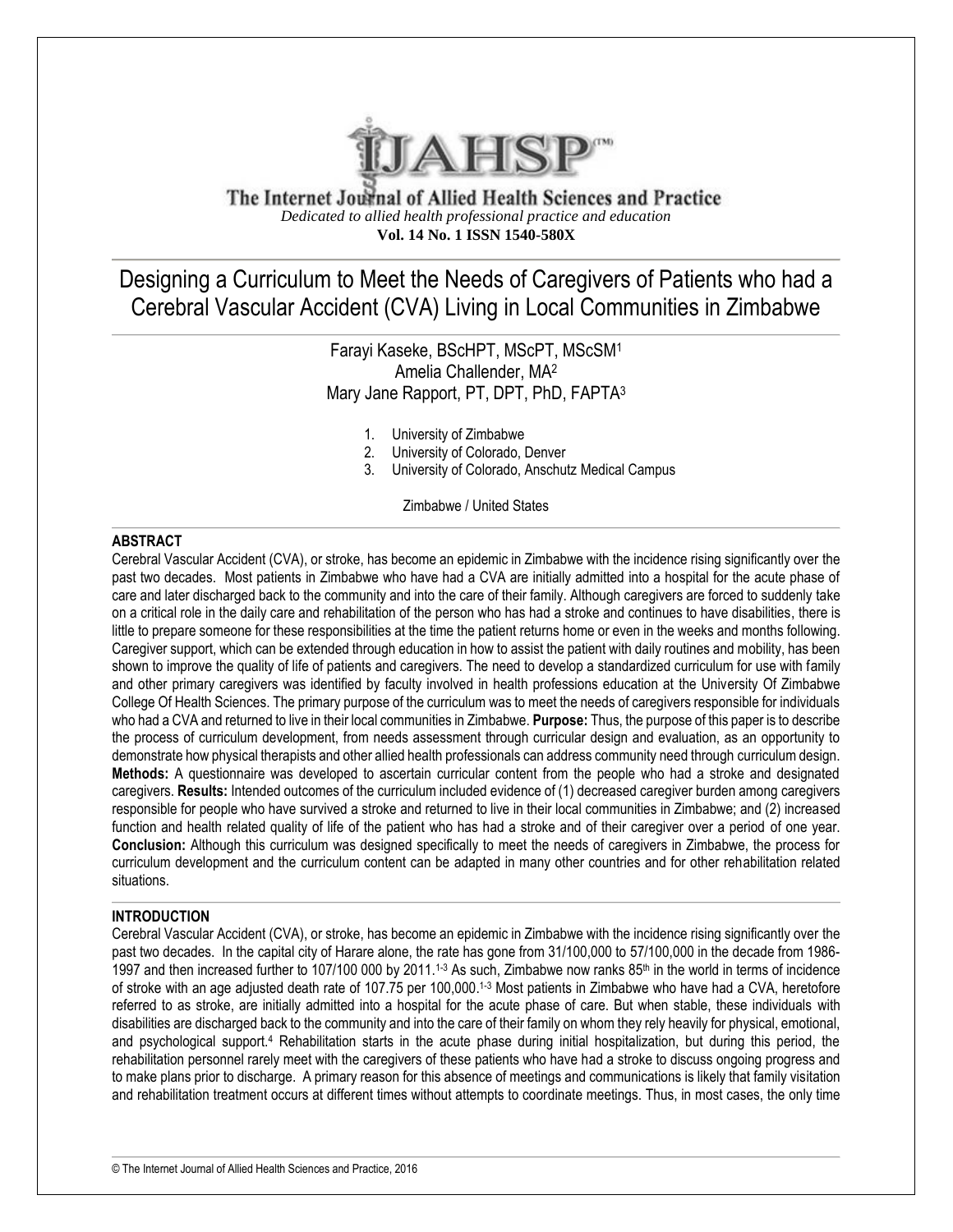

The Internet Journal of Allied Health Sciences and Practice *Dedicated to allied health professional practice and education* **Vol. 14 No. 1 ISSN 1540-580X**

Designing a Curriculum to Meet the Needs of Caregivers of Patients who had a Cerebral Vascular Accident (CVA) Living in Local Communities in Zimbabwe

> Farayi Kaseke, BScHPT, MScPT, MScSM<sup>1</sup> Amelia Challender, MA<sup>2</sup> Mary Jane Rapport, PT, DPT, PhD, FAPTA<sup>3</sup>

- 1. University of Zimbabwe
- 2. University of Colorado, Denver
- 3. University of Colorado, Anschutz Medical Campus

Zimbabwe / United States

#### **ABSTRACT**

Cerebral Vascular Accident (CVA), or stroke, has become an epidemic in Zimbabwe with the incidence rising significantly over the past two decades. Most patients in Zimbabwe who have had a CVA are initially admitted into a hospital for the acute phase of care and later discharged back to the community and into the care of their family. Although caregivers are forced to suddenly take on a critical role in the daily care and rehabilitation of the person who has had a stroke and continues to have disabilities, there is little to prepare someone for these responsibilities at the time the patient returns home or even in the weeks and months following. Caregiver support, which can be extended through education in how to assist the patient with daily routines and mobility, has been shown to improve the quality of life of patients and caregivers. The need to develop a standardized curriculum for use with family and other primary caregivers was identified by faculty involved in health professions education at the University Of Zimbabwe College Of Health Sciences. The primary purpose of the curriculum was to meet the needs of caregivers responsible for individuals who had a CVA and returned to live in their local communities in Zimbabwe. **Purpose:** Thus, the purpose of this paper is to describe the process of curriculum development, from needs assessment through curricular design and evaluation, as an opportunity to demonstrate how physical therapists and other allied health professionals can address community need through curriculum design. **Methods:** A questionnaire was developed to ascertain curricular content from the people who had a stroke and designated caregivers. **Results:** Intended outcomes of the curriculum included evidence of (1) decreased caregiver burden among caregivers responsible for people who have survived a stroke and returned to live in their local communities in Zimbabwe; and (2) increased function and health related quality of life of the patient who has had a stroke and of their caregiver over a period of one year. **Conclusion:** Although this curriculum was designed specifically to meet the needs of caregivers in Zimbabwe, the process for curriculum development and the curriculum content can be adapted in many other countries and for other rehabilitation related situations.

#### **INTRODUCTION**

Cerebral Vascular Accident (CVA), or stroke, has become an epidemic in Zimbabwe with the incidence rising significantly over the past two decades. In the capital city of Harare alone, the rate has gone from 31/100,000 to 57/100,000 in the decade from 1986- 1997 and then increased further to 107/100 000 by 2011.<sup>1-3</sup> As such, Zimbabwe now ranks  $85<sup>th</sup>$  in the world in terms of incidence of stroke with an age adjusted death rate of 107.75 per 100,000.<sup>1-3</sup> Most patients in Zimbabwe who have had a CVA, heretofore referred to as stroke, are initially admitted into a hospital for the acute phase of care. But when stable, these individuals with disabilities are discharged back to the community and into the care of their family on whom they rely heavily for physical, emotional, and psychological support.<sup>4</sup> Rehabilitation starts in the acute phase during initial hospitalization, but during this period, the rehabilitation personnel rarely meet with the caregivers of these patients who have had a stroke to discuss ongoing progress and to make plans prior to discharge. A primary reason for this absence of meetings and communications is likely that family visitation and rehabilitation treatment occurs at different times without attempts to coordinate meetings. Thus, in most cases, the only time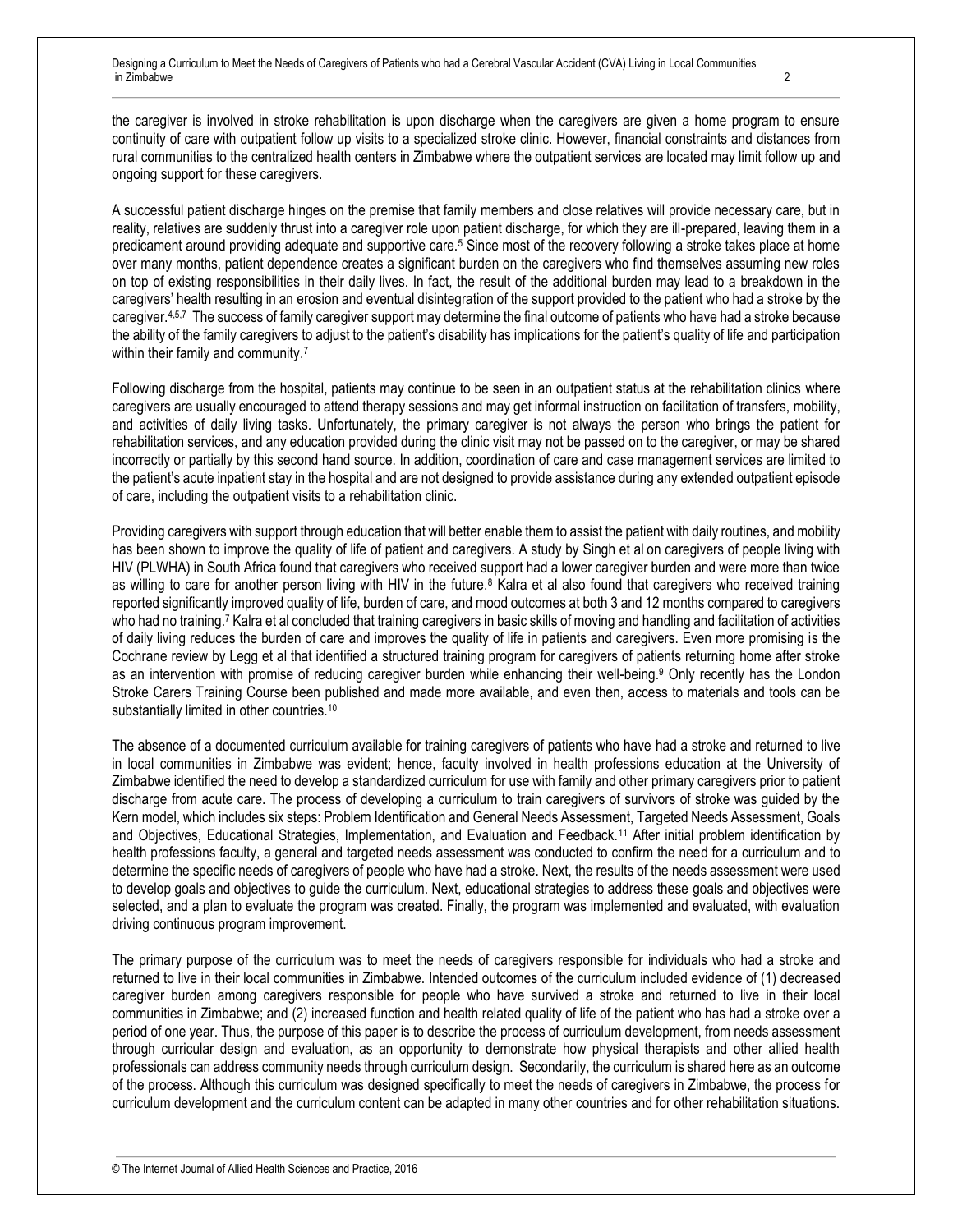the caregiver is involved in stroke rehabilitation is upon discharge when the caregivers are given a home program to ensure continuity of care with outpatient follow up visits to a specialized stroke clinic. However, financial constraints and distances from rural communities to the centralized health centers in Zimbabwe where the outpatient services are located may limit follow up and ongoing support for these caregivers.

A successful patient discharge hinges on the premise that family members and close relatives will provide necessary care, but in reality, relatives are suddenly thrust into a caregiver role upon patient discharge, for which they are ill-prepared, leaving them in a predicament around providing adequate and supportive care.<sup>5</sup> Since most of the recovery following a stroke takes place at home over many months, patient dependence creates a significant burden on the caregivers who find themselves assuming new roles on top of existing responsibilities in their daily lives. In fact, the result of the additional burden may lead to a breakdown in the caregivers' health resulting in an erosion and eventual disintegration of the support provided to the patient who had a stroke by the caregiver.<sup>4,5,7</sup> The success of family caregiver support may determine the final outcome of patients who have had a stroke because the ability of the family caregivers to adjust to the patient's disability has implications for the patient's quality of life and participation within their family and community.<sup>7</sup>

Following discharge from the hospital, patients may continue to be seen in an outpatient status at the rehabilitation clinics where caregivers are usually encouraged to attend therapy sessions and may get informal instruction on facilitation of transfers, mobility, and activities of daily living tasks. Unfortunately, the primary caregiver is not always the person who brings the patient for rehabilitation services, and any education provided during the clinic visit may not be passed on to the caregiver, or may be shared incorrectly or partially by this second hand source. In addition, coordination of care and case management services are limited to the patient's acute inpatient stay in the hospital and are not designed to provide assistance during any extended outpatient episode of care, including the outpatient visits to a rehabilitation clinic.

Providing caregivers with support through education that will better enable them to assist the patient with daily routines, and mobility has been shown to improve the quality of life of patient and caregivers. A study by Singh et al on caregivers of people living with HIV (PLWHA) in South Africa found that caregivers who received support had a lower caregiver burden and were more than twice as willing to care for another person living with HIV in the future.<sup>8</sup> Kalra et al also found that caregivers who received training reported significantly improved quality of life, burden of care, and mood outcomes at both 3 and 12 months compared to caregivers who had no training.<sup>7</sup> Kalra et al concluded that training caregivers in basic skills of moving and handling and facilitation of activities of daily living reduces the burden of care and improves the quality of life in patients and caregivers. Even more promising is the Cochrane review by Legg et al that identified a structured training program for caregivers of patients returning home after stroke as an intervention with promise of reducing caregiver burden while enhancing their well-being.<sup>9</sup> Only recently has the London Stroke Carers Training Course been published and made more available, and even then, access to materials and tools can be substantially limited in other countries.<sup>10</sup>

The absence of a documented curriculum available for training caregivers of patients who have had a stroke and returned to live in local communities in Zimbabwe was evident; hence, faculty involved in health professions education at the University of Zimbabwe identified the need to develop a standardized curriculum for use with family and other primary caregivers prior to patient discharge from acute care. The process of developing a curriculum to train caregivers of survivors of stroke was guided by the Kern model, which includes six steps: Problem Identification and General Needs Assessment, Targeted Needs Assessment, Goals and Objectives, Educational Strategies, Implementation, and Evaluation and Feedback.<sup>11</sup> After initial problem identification by health professions faculty, a general and targeted needs assessment was conducted to confirm the need for a curriculum and to determine the specific needs of caregivers of people who have had a stroke. Next, the results of the needs assessment were used to develop goals and objectives to guide the curriculum. Next, educational strategies to address these goals and objectives were selected, and a plan to evaluate the program was created. Finally, the program was implemented and evaluated, with evaluation driving continuous program improvement.

The primary purpose of the curriculum was to meet the needs of caregivers responsible for individuals who had a stroke and returned to live in their local communities in Zimbabwe. Intended outcomes of the curriculum included evidence of (1) decreased caregiver burden among caregivers responsible for people who have survived a stroke and returned to live in their local communities in Zimbabwe; and (2) increased function and health related quality of life of the patient who has had a stroke over a period of one year. Thus, the purpose of this paper is to describe the process of curriculum development, from needs assessment through curricular design and evaluation, as an opportunity to demonstrate how physical therapists and other allied health professionals can address community needs through curriculum design. Secondarily, the curriculum is shared here as an outcome of the process. Although this curriculum was designed specifically to meet the needs of caregivers in Zimbabwe, the process for curriculum development and the curriculum content can be adapted in many other countries and for other rehabilitation situations.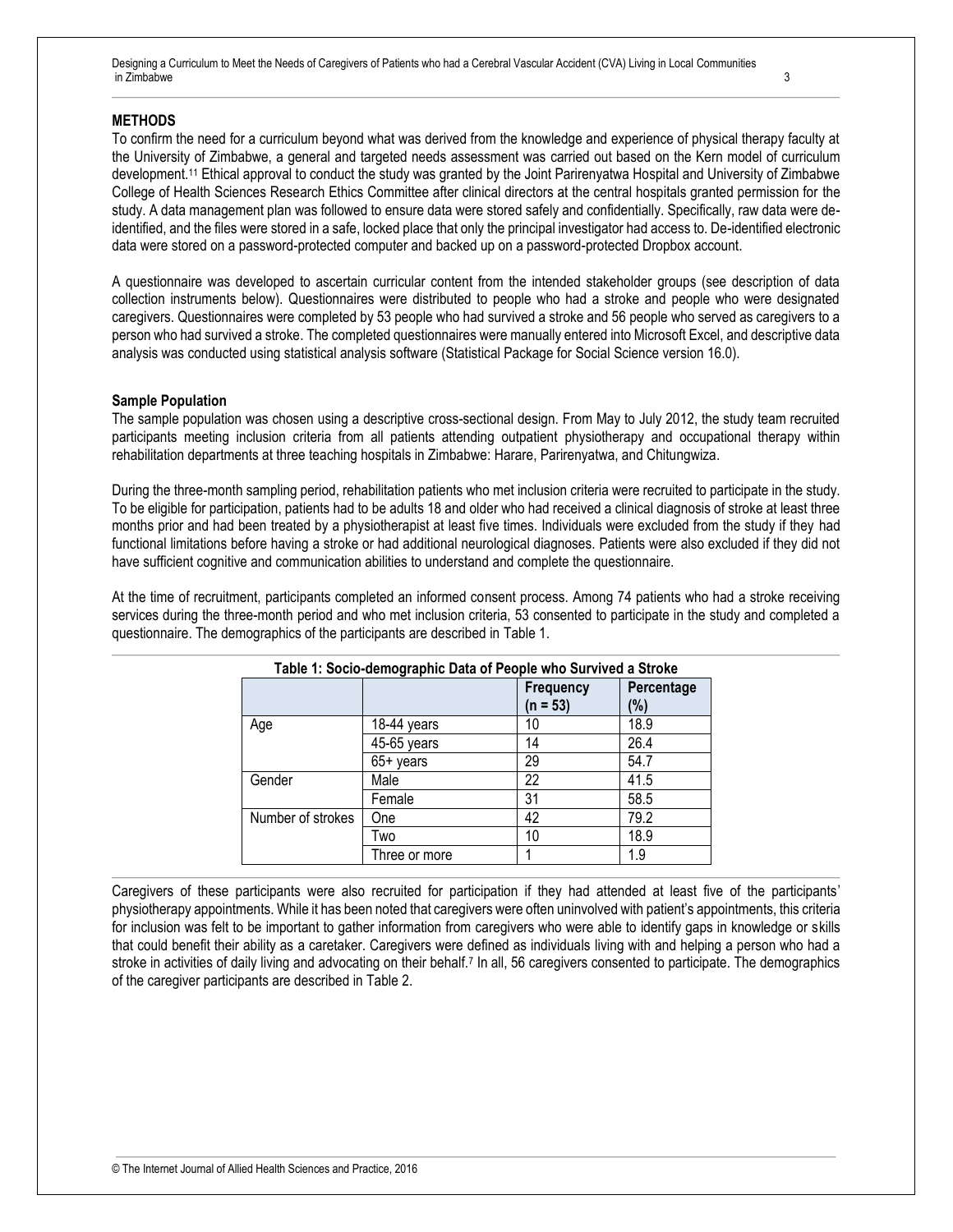#### **METHODS**

To confirm the need for a curriculum beyond what was derived from the knowledge and experience of physical therapy faculty at the University of Zimbabwe, a general and targeted needs assessment was carried out based on the Kern model of curriculum development.<sup>11</sup> Ethical approval to conduct the study was granted by the Joint Parirenyatwa Hospital and University of Zimbabwe College of Health Sciences Research Ethics Committee after clinical directors at the central hospitals granted permission for the study. A data management plan was followed to ensure data were stored safely and confidentially. Specifically, raw data were deidentified, and the files were stored in a safe, locked place that only the principal investigator had access to. De-identified electronic data were stored on a password-protected computer and backed up on a password-protected Dropbox account.

A questionnaire was developed to ascertain curricular content from the intended stakeholder groups (see description of data collection instruments below). Questionnaires were distributed to people who had a stroke and people who were designated caregivers. Questionnaires were completed by 53 people who had survived a stroke and 56 people who served as caregivers to a person who had survived a stroke. The completed questionnaires were manually entered into Microsoft Excel, and descriptive data analysis was conducted using statistical analysis software (Statistical Package for Social Science version 16.0).

#### **Sample Population**

The sample population was chosen using a descriptive cross-sectional design. From May to July 2012, the study team recruited participants meeting inclusion criteria from all patients attending outpatient physiotherapy and occupational therapy within rehabilitation departments at three teaching hospitals in Zimbabwe: Harare, Parirenyatwa, and Chitungwiza.

During the three-month sampling period, rehabilitation patients who met inclusion criteria were recruited to participate in the study. To be eligible for participation, patients had to be adults 18 and older who had received a clinical diagnosis of stroke at least three months prior and had been treated by a physiotherapist at least five times. Individuals were excluded from the study if they had functional limitations before having a stroke or had additional neurological diagnoses. Patients were also excluded if they did not have sufficient cognitive and communication abilities to understand and complete the questionnaire.

At the time of recruitment, participants completed an informed consent process. Among 74 patients who had a stroke receiving services during the three-month period and who met inclusion criteria, 53 consented to participate in the study and completed a questionnaire. The demographics of the participants are described in Table 1.

| Table 1: Socio-demographic Data of People who Survived a Stroke |               |                                |                   |
|-----------------------------------------------------------------|---------------|--------------------------------|-------------------|
|                                                                 |               | <b>Frequency</b><br>$(n = 53)$ | Percentage<br>(%) |
| Age                                                             | 18-44 years   | 10                             | 18.9              |
|                                                                 | 45-65 years   | 14                             | 26.4              |
|                                                                 | $65+$ years   | 29                             | 54.7              |
| Gender                                                          | Male          | 22                             | 41.5              |
|                                                                 | Female        | 31                             | 58.5              |
| Number of strokes                                               | One           | 42                             | 79.2              |
|                                                                 | Two           | 10                             | 18.9              |
|                                                                 | Three or more |                                | 1.9               |

Caregivers of these participants were also recruited for participation if they had attended at least five of the participants' physiotherapy appointments. While it has been noted that caregivers were often uninvolved with patient's appointments, this criteria for inclusion was felt to be important to gather information from caregivers who were able to identify gaps in knowledge or skills that could benefit their ability as a caretaker. Caregivers were defined as individuals living with and helping a person who had a stroke in activities of daily living and advocating on their behalf.<sup>7</sup> In all, 56 caregivers consented to participate. The demographics of the caregiver participants are described in Table 2.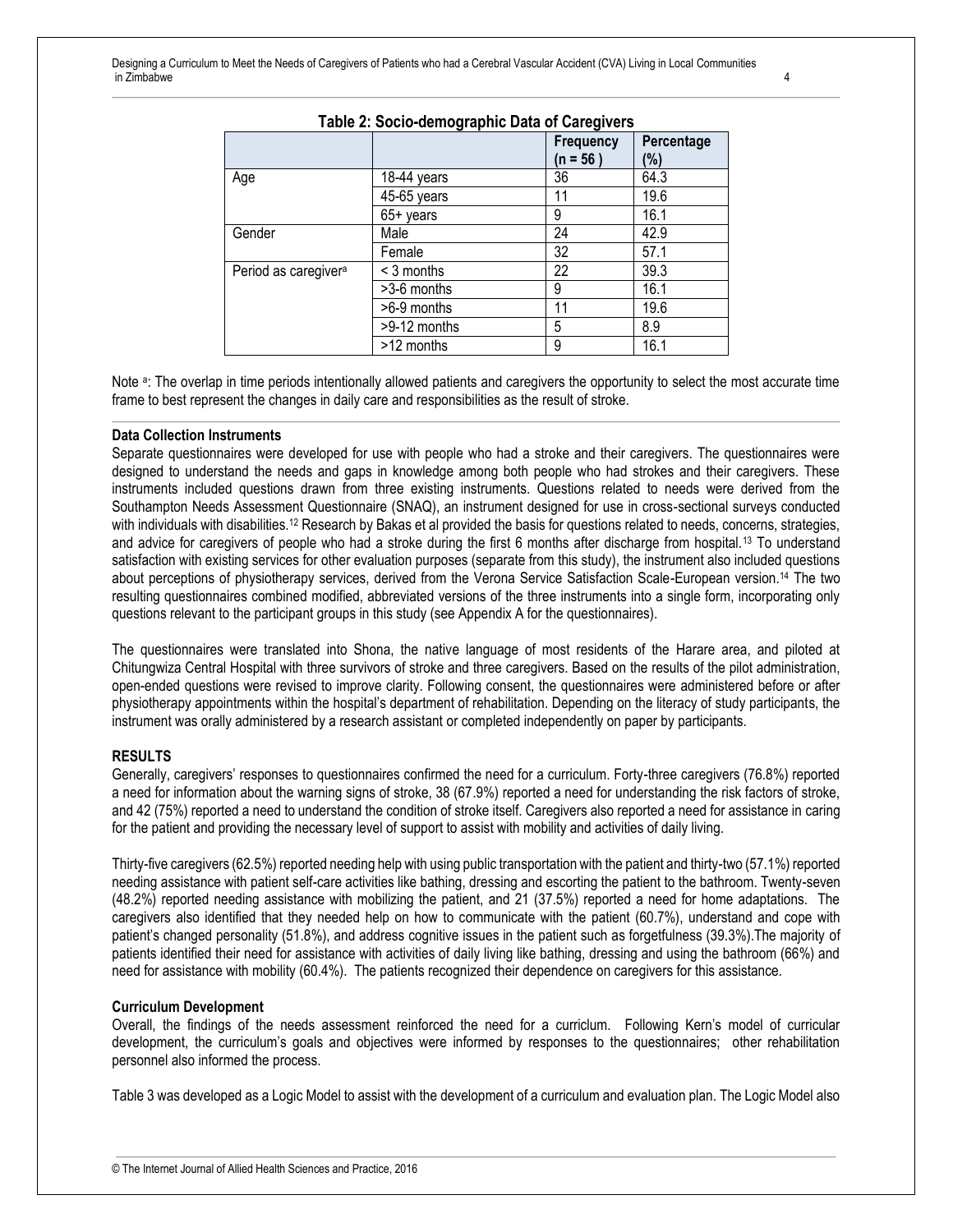| rapid 2. Oodio adinographio Data or Garegivero |              |           |            |
|------------------------------------------------|--------------|-----------|------------|
|                                                |              | Frequency | Percentage |
|                                                |              | (n = 56 ) | (%)        |
| Age                                            | 18-44 years  | 36        | 64.3       |
|                                                | 45-65 years  | 11        | 19.6       |
|                                                | $65+$ years  | 9         | 16.1       |
| Gender                                         | Male         | 24        | 42.9       |
|                                                | Female       | 32        | 57.1       |
| Period as caregiver <sup>a</sup>               | < 3 months   | 22        | 39.3       |
|                                                | >3-6 months  | 9         | 16.1       |
|                                                | >6-9 months  | 11        | 19.6       |
|                                                | >9-12 months | 5         | 8.9        |
|                                                | >12 months   | 9         | 16.1       |

#### **Table 2: Socio-demographic Data of Caregivers**

Note <sup>a</sup>: The overlap in time periods intentionally allowed patients and caregivers the opportunity to select the most accurate time frame to best represent the changes in daily care and responsibilities as the result of stroke.

#### **Data Collection Instruments**

Separate questionnaires were developed for use with people who had a stroke and their caregivers. The questionnaires were designed to understand the needs and gaps in knowledge among both people who had strokes and their caregivers. These instruments included questions drawn from three existing instruments. Questions related to needs were derived from the Southampton Needs Assessment Questionnaire (SNAQ), an instrument designed for use in cross-sectional surveys conducted with individuals with disabilities.<sup>12</sup> Research by Bakas et al provided the basis for questions related to needs, concerns, strategies, and advice for caregivers of people who had a stroke during the first 6 months after discharge from hospital.<sup>13</sup> To understand satisfaction with existing services for other evaluation purposes (separate from this study), the instrument also included questions about perceptions of physiotherapy services, derived from the Verona Service Satisfaction Scale-European version.<sup>14</sup> The two resulting questionnaires combined modified, abbreviated versions of the three instruments into a single form, incorporating only questions relevant to the participant groups in this study (see Appendix A for the questionnaires).

The questionnaires were translated into Shona, the native language of most residents of the Harare area, and piloted at Chitungwiza Central Hospital with three survivors of stroke and three caregivers. Based on the results of the pilot administration, open-ended questions were revised to improve clarity. Following consent, the questionnaires were administered before or after physiotherapy appointments within the hospital's department of rehabilitation. Depending on the literacy of study participants, the instrument was orally administered by a research assistant or completed independently on paper by participants.

#### **RESULTS**

Generally, caregivers' responses to questionnaires confirmed the need for a curriculum. Forty-three caregivers (76.8%) reported a need for information about the warning signs of stroke, 38 (67.9%) reported a need for understanding the risk factors of stroke, and 42 (75%) reported a need to understand the condition of stroke itself. Caregivers also reported a need for assistance in caring for the patient and providing the necessary level of support to assist with mobility and activities of daily living.

Thirty-five caregivers (62.5%) reported needing help with using public transportation with the patient and thirty-two (57.1%) reported needing assistance with patient self-care activities like bathing, dressing and escorting the patient to the bathroom. Twenty-seven (48.2%) reported needing assistance with mobilizing the patient, and 21 (37.5%) reported a need for home adaptations. The caregivers also identified that they needed help on how to communicate with the patient (60.7%), understand and cope with patient's changed personality (51.8%), and address cognitive issues in the patient such as forgetfulness (39.3%).The majority of patients identified their need for assistance with activities of daily living like bathing, dressing and using the bathroom (66%) and need for assistance with mobility (60.4%). The patients recognized their dependence on caregivers for this assistance.

#### **Curriculum Development**

Overall, the findings of the needs assessment reinforced the need for a curriclum. Following Kern's model of curricular development, the curriculum's goals and objectives were informed by responses to the questionnaires; other rehabilitation personnel also informed the process.

Table 3 was developed as a Logic Model to assist with the development of a curriculum and evaluation plan. The Logic Model also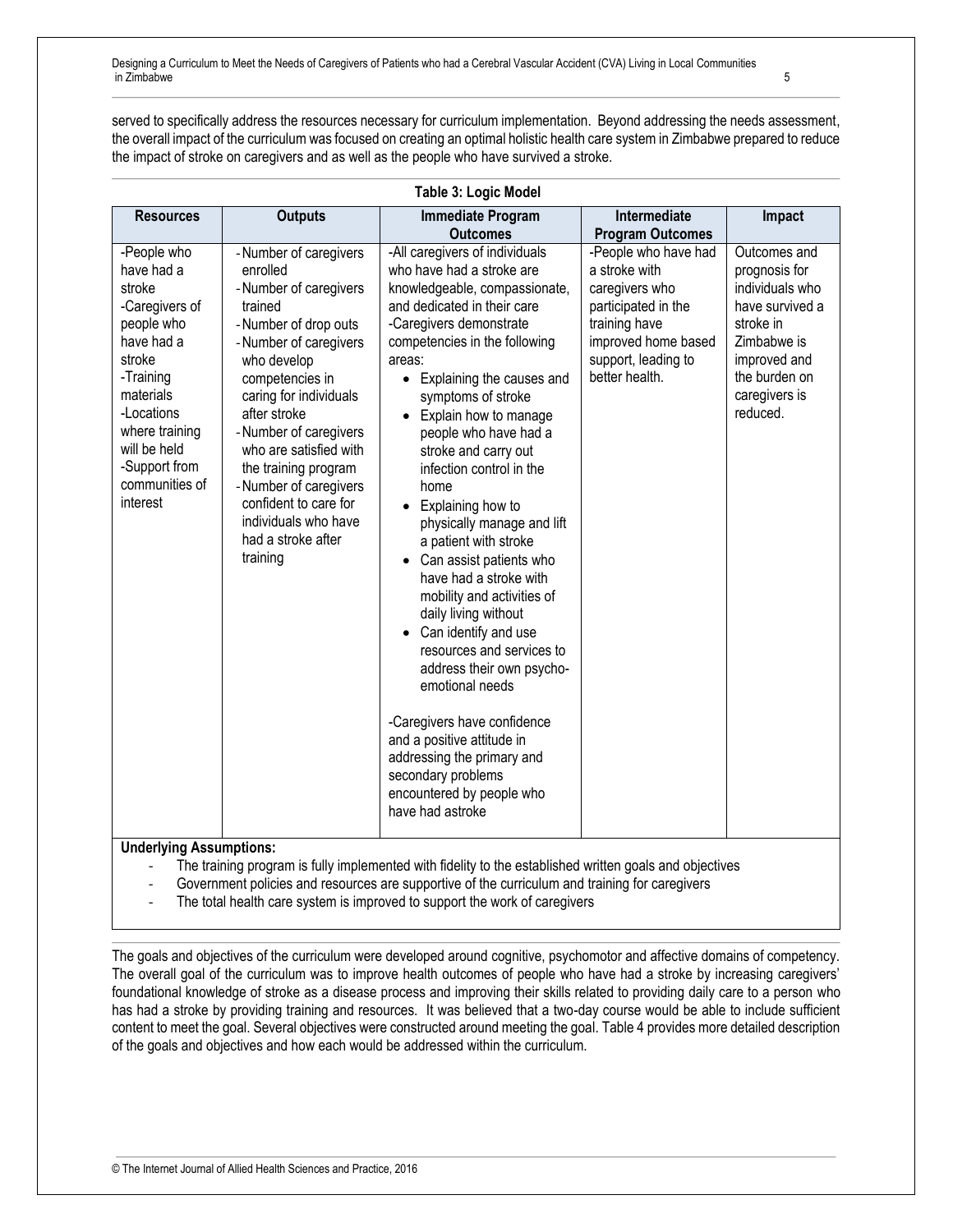served to specifically address the resources necessary for curriculum implementation. Beyond addressing the needs assessment, the overall impact of the curriculum was focused on creating an optimal holistic health care system in Zimbabwe prepared to reduce the impact of stroke on caregivers and as well as the people who have survived a stroke.

| Table 3: Logic Model                                                                                                                                                                                                 |                                                                                                                                                                                                                                                                                                                                                                                                |                                                                                                                                                                                                                                                                                                                                                                                                                                                                                                                                                                                                                                                                                                                                                                                                                                               |                                                                                                                                                                 |                                                                                                                                                               |
|----------------------------------------------------------------------------------------------------------------------------------------------------------------------------------------------------------------------|------------------------------------------------------------------------------------------------------------------------------------------------------------------------------------------------------------------------------------------------------------------------------------------------------------------------------------------------------------------------------------------------|-----------------------------------------------------------------------------------------------------------------------------------------------------------------------------------------------------------------------------------------------------------------------------------------------------------------------------------------------------------------------------------------------------------------------------------------------------------------------------------------------------------------------------------------------------------------------------------------------------------------------------------------------------------------------------------------------------------------------------------------------------------------------------------------------------------------------------------------------|-----------------------------------------------------------------------------------------------------------------------------------------------------------------|---------------------------------------------------------------------------------------------------------------------------------------------------------------|
| <b>Resources</b>                                                                                                                                                                                                     | <b>Outputs</b>                                                                                                                                                                                                                                                                                                                                                                                 | <b>Immediate Program</b>                                                                                                                                                                                                                                                                                                                                                                                                                                                                                                                                                                                                                                                                                                                                                                                                                      | Intermediate                                                                                                                                                    | Impact                                                                                                                                                        |
|                                                                                                                                                                                                                      |                                                                                                                                                                                                                                                                                                                                                                                                | <b>Outcomes</b>                                                                                                                                                                                                                                                                                                                                                                                                                                                                                                                                                                                                                                                                                                                                                                                                                               | <b>Program Outcomes</b>                                                                                                                                         |                                                                                                                                                               |
| -People who<br>have had a<br>stroke<br>-Caregivers of<br>people who<br>have had a<br>stroke<br>-Training<br>materials<br>-Locations<br>where training<br>will be held<br>-Support from<br>communities of<br>interest | - Number of caregivers<br>enrolled<br>- Number of caregivers<br>trained<br>-Number of drop outs<br>- Number of caregivers<br>who develop<br>competencies in<br>caring for individuals<br>after stroke<br>- Number of caregivers<br>who are satisfied with<br>the training program<br>- Number of caregivers<br>confident to care for<br>individuals who have<br>had a stroke after<br>training | -All caregivers of individuals<br>who have had a stroke are<br>knowledgeable, compassionate,<br>and dedicated in their care<br>-Caregivers demonstrate<br>competencies in the following<br>areas:<br>Explaining the causes and<br>$\bullet$<br>symptoms of stroke<br>Explain how to manage<br>people who have had a<br>stroke and carry out<br>infection control in the<br>home<br>Explaining how to<br>physically manage and lift<br>a patient with stroke<br>Can assist patients who<br>have had a stroke with<br>mobility and activities of<br>daily living without<br>Can identify and use<br>resources and services to<br>address their own psycho-<br>emotional needs<br>-Caregivers have confidence<br>and a positive attitude in<br>addressing the primary and<br>secondary problems<br>encountered by people who<br>have had astroke | -People who have had<br>a stroke with<br>caregivers who<br>participated in the<br>training have<br>improved home based<br>support, leading to<br>better health. | Outcomes and<br>prognosis for<br>individuals who<br>have survived a<br>stroke in<br>Zimbabwe is<br>improved and<br>the burden on<br>caregivers is<br>reduced. |

## **Table 3: Logic Model**

**Underlying Assumptions:** 

The training program is fully implemented with fidelity to the established written goals and objectives

Government policies and resources are supportive of the curriculum and training for caregivers

- The total health care system is improved to support the work of caregivers

The goals and objectives of the curriculum were developed around cognitive, psychomotor and affective domains of competency. The overall goal of the curriculum was to improve health outcomes of people who have had a stroke by increasing caregivers' foundational knowledge of stroke as a disease process and improving their skills related to providing daily care to a person who has had a stroke by providing training and resources. It was believed that a two-day course would be able to include sufficient content to meet the goal. Several objectives were constructed around meeting the goal. Table 4 provides more detailed description of the goals and objectives and how each would be addressed within the curriculum.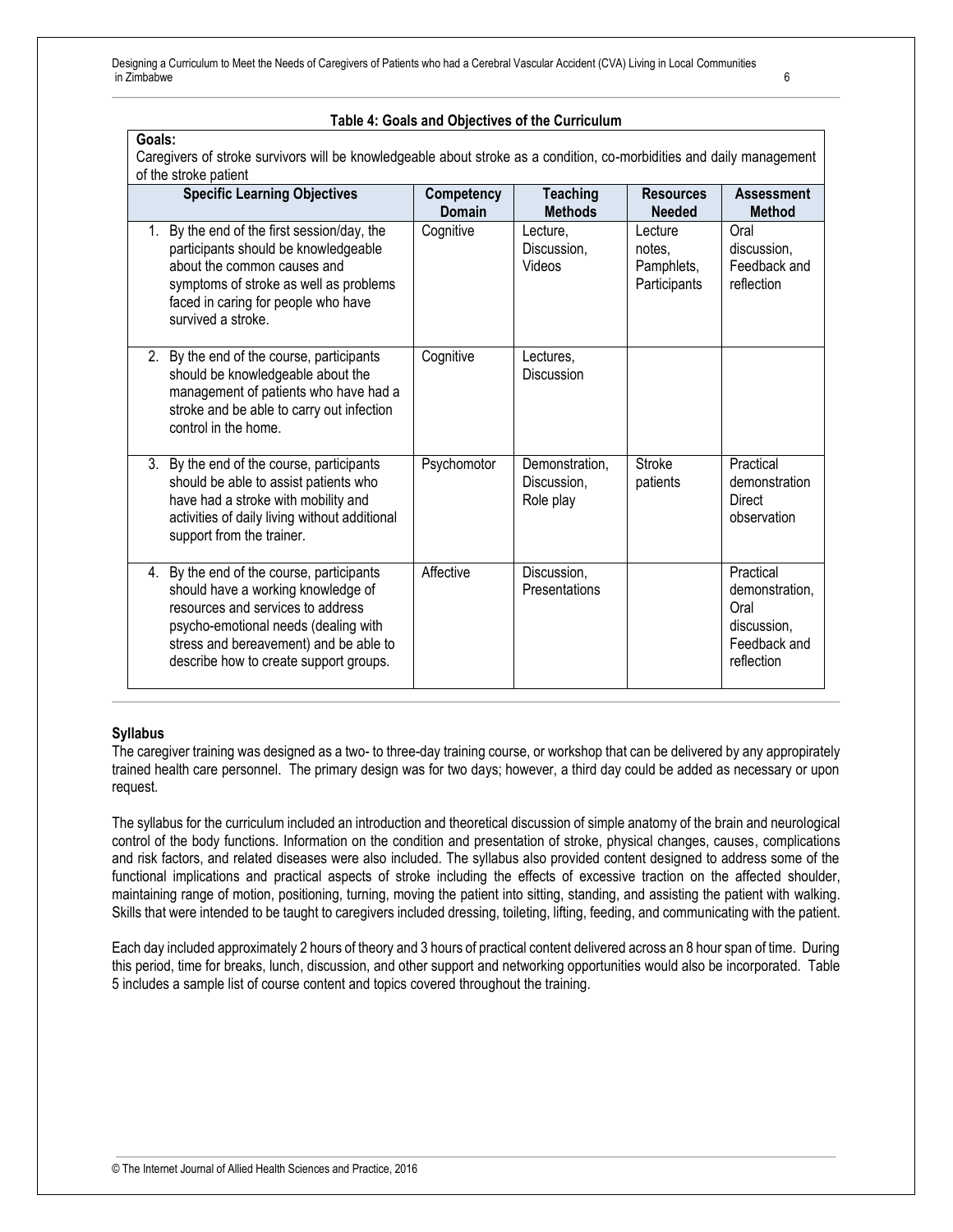#### **Table 4: Goals and Objectives of the Curriculum**

**Goals:** Caregivers of stroke survivors will be knowledgeable about stroke as a condition, co-morbidities and daily management of the stroke patient

| <b>Specific Learning Objectives</b>                                                                                                                                                                                                              | Competency  | <b>Teaching</b>                            | <b>Resources</b>                                | <b>Assessment</b>                                                                |
|--------------------------------------------------------------------------------------------------------------------------------------------------------------------------------------------------------------------------------------------------|-------------|--------------------------------------------|-------------------------------------------------|----------------------------------------------------------------------------------|
|                                                                                                                                                                                                                                                  | Domain      | <b>Methods</b>                             | <b>Needed</b>                                   | <b>Method</b>                                                                    |
| 1. By the end of the first session/day, the<br>participants should be knowledgeable<br>about the common causes and<br>symptoms of stroke as well as problems<br>faced in caring for people who have<br>survived a stroke.                        | Cognitive   | Lecture,<br>Discussion,<br>Videos          | Lecture<br>notes.<br>Pamphlets,<br>Participants | Oral<br>discussion.<br>Feedback and<br>reflection                                |
| 2. By the end of the course, participants<br>should be knowledgeable about the<br>management of patients who have had a<br>stroke and be able to carry out infection<br>control in the home.                                                     | Cognitive   | Lectures,<br>Discussion                    |                                                 |                                                                                  |
| 3. By the end of the course, participants<br>should be able to assist patients who<br>have had a stroke with mobility and<br>activities of daily living without additional<br>support from the trainer.                                          | Psychomotor | Demonstration,<br>Discussion.<br>Role play | <b>Stroke</b><br>patients                       | Practical<br>demonstration<br>Direct<br>observation                              |
| 4. By the end of the course, participants<br>should have a working knowledge of<br>resources and services to address<br>psycho-emotional needs (dealing with<br>stress and bereavement) and be able to<br>describe how to create support groups. | Affective   | Discussion,<br>Presentations               |                                                 | Practical<br>demonstration,<br>Oral<br>discussion.<br>Feedback and<br>reflection |

#### **Syllabus**

The caregiver training was designed as a two- to three-day training course, or workshop that can be delivered by any appropirately trained health care personnel. The primary design was for two days; however, a third day could be added as necessary or upon request.

The syllabus for the curriculum included an introduction and theoretical discussion of simple anatomy of the brain and neurological control of the body functions. Information on the condition and presentation of stroke, physical changes, causes, complications and risk factors, and related diseases were also included. The syllabus also provided content designed to address some of the functional implications and practical aspects of stroke including the effects of excessive traction on the affected shoulder, maintaining range of motion, positioning, turning, moving the patient into sitting, standing, and assisting the patient with walking. Skills that were intended to be taught to caregivers included dressing, toileting, lifting, feeding, and communicating with the patient.

Each day included approximately 2 hours of theory and 3 hours of practical content delivered across an 8 hour span of time. During this period, time for breaks, lunch, discussion, and other support and networking opportunities would also be incorporated. Table 5 includes a sample list of course content and topics covered throughout the training.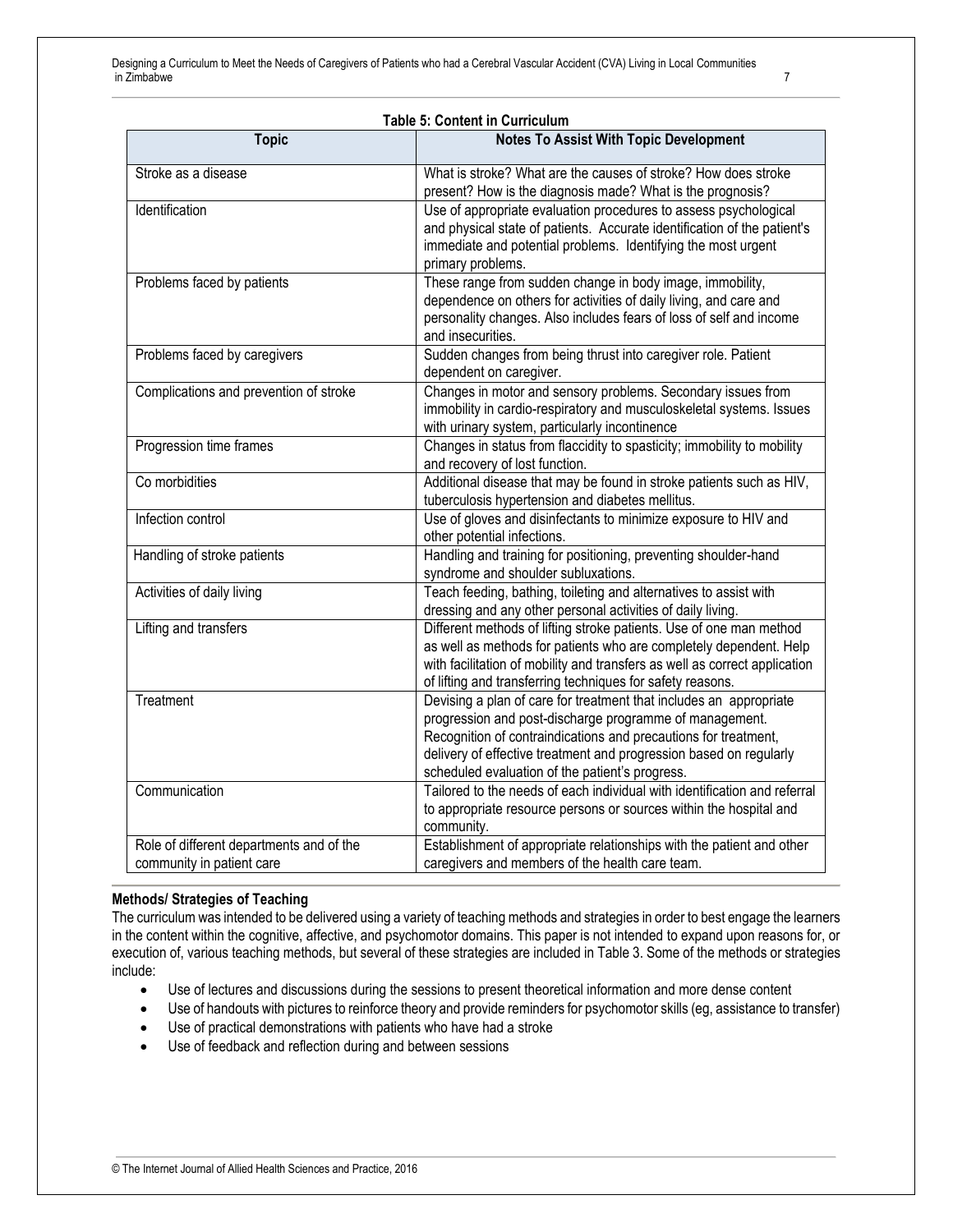| <b>Table 5: Content in Curriculum</b>                                 |                                                                                                                                                                                                                                                                                                                           |  |
|-----------------------------------------------------------------------|---------------------------------------------------------------------------------------------------------------------------------------------------------------------------------------------------------------------------------------------------------------------------------------------------------------------------|--|
| <b>Topic</b>                                                          | <b>Notes To Assist With Topic Development</b>                                                                                                                                                                                                                                                                             |  |
| Stroke as a disease                                                   | What is stroke? What are the causes of stroke? How does stroke<br>present? How is the diagnosis made? What is the prognosis?                                                                                                                                                                                              |  |
| Identification                                                        | Use of appropriate evaluation procedures to assess psychological<br>and physical state of patients. Accurate identification of the patient's<br>immediate and potential problems. Identifying the most urgent<br>primary problems.                                                                                        |  |
| Problems faced by patients                                            | These range from sudden change in body image, immobility,<br>dependence on others for activities of daily living, and care and<br>personality changes. Also includes fears of loss of self and income<br>and insecurities.                                                                                                |  |
| Problems faced by caregivers                                          | Sudden changes from being thrust into caregiver role. Patient<br>dependent on caregiver.                                                                                                                                                                                                                                  |  |
| Complications and prevention of stroke                                | Changes in motor and sensory problems. Secondary issues from<br>immobility in cardio-respiratory and musculoskeletal systems. Issues<br>with urinary system, particularly incontinence                                                                                                                                    |  |
| Progression time frames                                               | Changes in status from flaccidity to spasticity; immobility to mobility<br>and recovery of lost function.                                                                                                                                                                                                                 |  |
| Co morbidities                                                        | Additional disease that may be found in stroke patients such as HIV,<br>tuberculosis hypertension and diabetes mellitus.                                                                                                                                                                                                  |  |
| Infection control                                                     | Use of gloves and disinfectants to minimize exposure to HIV and<br>other potential infections.                                                                                                                                                                                                                            |  |
| Handling of stroke patients                                           | Handling and training for positioning, preventing shoulder-hand<br>syndrome and shoulder subluxations.                                                                                                                                                                                                                    |  |
| Activities of daily living                                            | Teach feeding, bathing, toileting and alternatives to assist with<br>dressing and any other personal activities of daily living.                                                                                                                                                                                          |  |
| Lifting and transfers                                                 | Different methods of lifting stroke patients. Use of one man method<br>as well as methods for patients who are completely dependent. Help<br>with facilitation of mobility and transfers as well as correct application<br>of lifting and transferring techniques for safety reasons.                                     |  |
| Treatment                                                             | Devising a plan of care for treatment that includes an appropriate<br>progression and post-discharge programme of management.<br>Recognition of contraindications and precautions for treatment,<br>delivery of effective treatment and progression based on regularly<br>scheduled evaluation of the patient's progress. |  |
| Communication                                                         | Tailored to the needs of each individual with identification and referral<br>to appropriate resource persons or sources within the hospital and<br>community.                                                                                                                                                             |  |
| Role of different departments and of the<br>community in patient care | Establishment of appropriate relationships with the patient and other<br>caregivers and members of the health care team.                                                                                                                                                                                                  |  |

#### **Methods/ Strategies of Teaching**

The curriculum was intended to be delivered using a variety of teaching methods and strategies in order to best engage the learners in the content within the cognitive, affective, and psychomotor domains. This paper is not intended to expand upon reasons for, or execution of, various teaching methods, but several of these strategies are included in Table 3. Some of the methods or strategies include:

- Use of lectures and discussions during the sessions to present theoretical information and more dense content
- Use of handouts with pictures to reinforce theory and provide reminders for psychomotor skills (eg, assistance to transfer)
- Use of practical demonstrations with patients who have had a stroke
- Use of feedback and reflection during and between sessions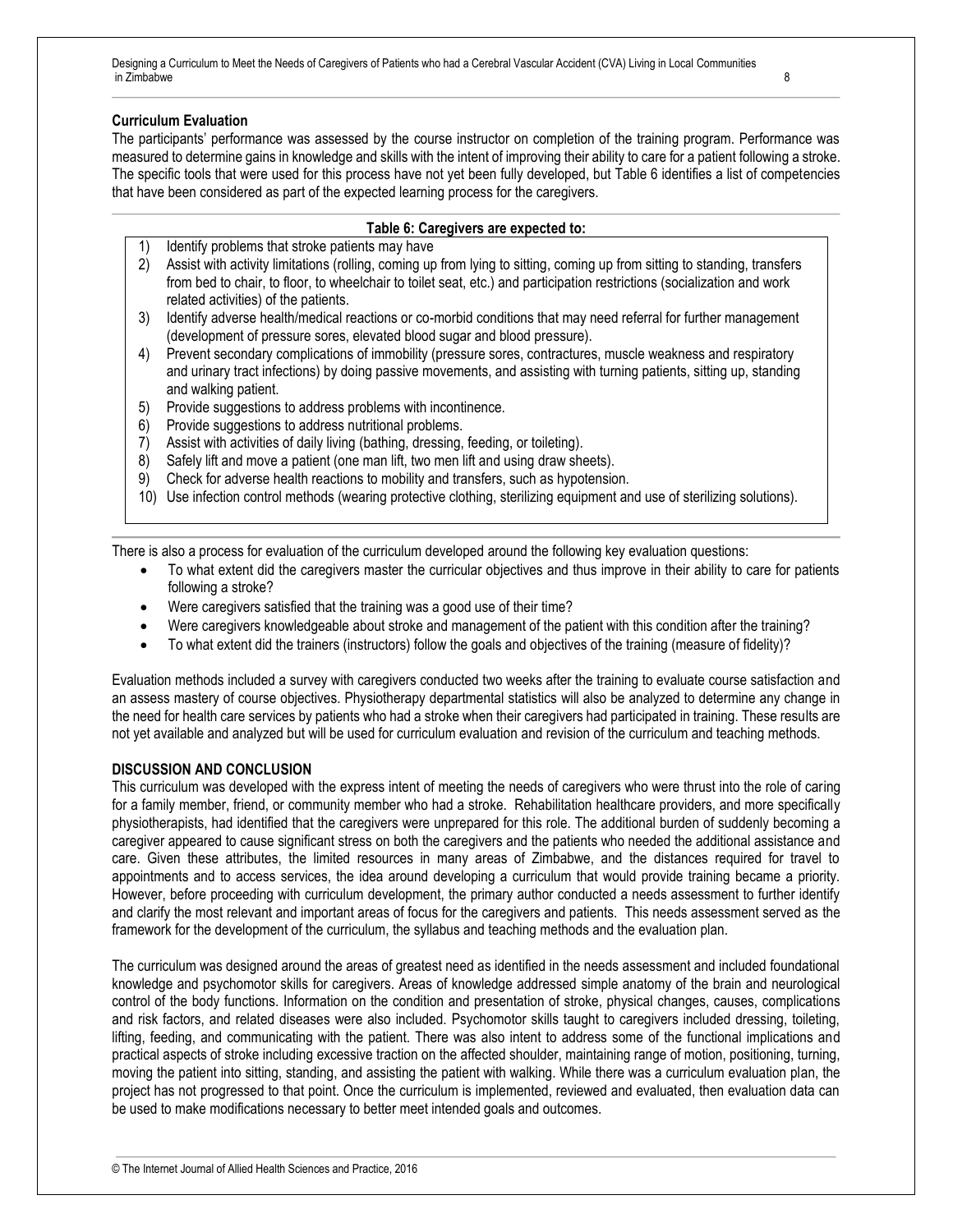#### **Curriculum Evaluation**

The participants' performance was assessed by the course instructor on completion of the training program. Performance was measured to determine gains in knowledge and skills with the intent of improving their ability to care for a patient following a stroke. The specific tools that were used for this process have not yet been fully developed, but Table 6 identifies a list of competencies that have been considered as part of the expected learning process for the caregivers.

#### **Table 6: Caregivers are expected to:**

- 1) Identify problems that stroke patients may have
- 2) Assist with activity limitations (rolling, coming up from lying to sitting, coming up from sitting to standing, transfers from bed to chair, to floor, to wheelchair to toilet seat, etc.) and participation restrictions (socialization and work related activities) of the patients.
- 3) Identify adverse health/medical reactions or co-morbid conditions that may need referral for further management (development of pressure sores, elevated blood sugar and blood pressure).
- 4) Prevent secondary complications of immobility (pressure sores, contractures, muscle weakness and respiratory and urinary tract infections) by doing passive movements, and assisting with turning patients, sitting up, standing and walking patient.
- 5) Provide suggestions to address problems with incontinence.
- 6) Provide suggestions to address nutritional problems.
- 7) Assist with activities of daily living (bathing, dressing, feeding, or toileting).
- 8) Safely lift and move a patient (one man lift, two men lift and using draw sheets).
- 9) Check for adverse health reactions to mobility and transfers, such as hypotension.
- 10) Use infection control methods (wearing protective clothing, sterilizing equipment and use of sterilizing solutions).

There is also a process for evaluation of the curriculum developed around the following key evaluation questions:

- To what extent did the caregivers master the curricular objectives and thus improve in their ability to care for patients following a stroke?
- Were caregivers satisfied that the training was a good use of their time?
- Were caregivers knowledgeable about stroke and management of the patient with this condition after the training?
- To what extent did the trainers (instructors) follow the goals and objectives of the training (measure of fidelity)?

Evaluation methods included a survey with caregivers conducted two weeks after the training to evaluate course satisfaction and an assess mastery of course objectives. Physiotherapy departmental statistics will also be analyzed to determine any change in the need for health care services by patients who had a stroke when their caregivers had participated in training. These results are not yet available and analyzed but will be used for curriculum evaluation and revision of the curriculum and teaching methods.

#### **DISCUSSION AND CONCLUSION**

This curriculum was developed with the express intent of meeting the needs of caregivers who were thrust into the role of caring for a family member, friend, or community member who had a stroke. Rehabilitation healthcare providers, and more specifically physiotherapists, had identified that the caregivers were unprepared for this role. The additional burden of suddenly becoming a caregiver appeared to cause significant stress on both the caregivers and the patients who needed the additional assistance and care. Given these attributes, the limited resources in many areas of Zimbabwe, and the distances required for travel to appointments and to access services, the idea around developing a curriculum that would provide training became a priority. However, before proceeding with curriculum development, the primary author conducted a needs assessment to further identify and clarify the most relevant and important areas of focus for the caregivers and patients. This needs assessment served as the framework for the development of the curriculum, the syllabus and teaching methods and the evaluation plan.

The curriculum was designed around the areas of greatest need as identified in the needs assessment and included foundational knowledge and psychomotor skills for caregivers. Areas of knowledge addressed simple anatomy of the brain and neurological control of the body functions. Information on the condition and presentation of stroke, physical changes, causes, complications and risk factors, and related diseases were also included. Psychomotor skills taught to caregivers included dressing, toileting, lifting, feeding, and communicating with the patient. There was also intent to address some of the functional implications and practical aspects of stroke including excessive traction on the affected shoulder, maintaining range of motion, positioning, turning, moving the patient into sitting, standing, and assisting the patient with walking. While there was a curriculum evaluation plan, the project has not progressed to that point. Once the curriculum is implemented, reviewed and evaluated, then evaluation data can be used to make modifications necessary to better meet intended goals and outcomes.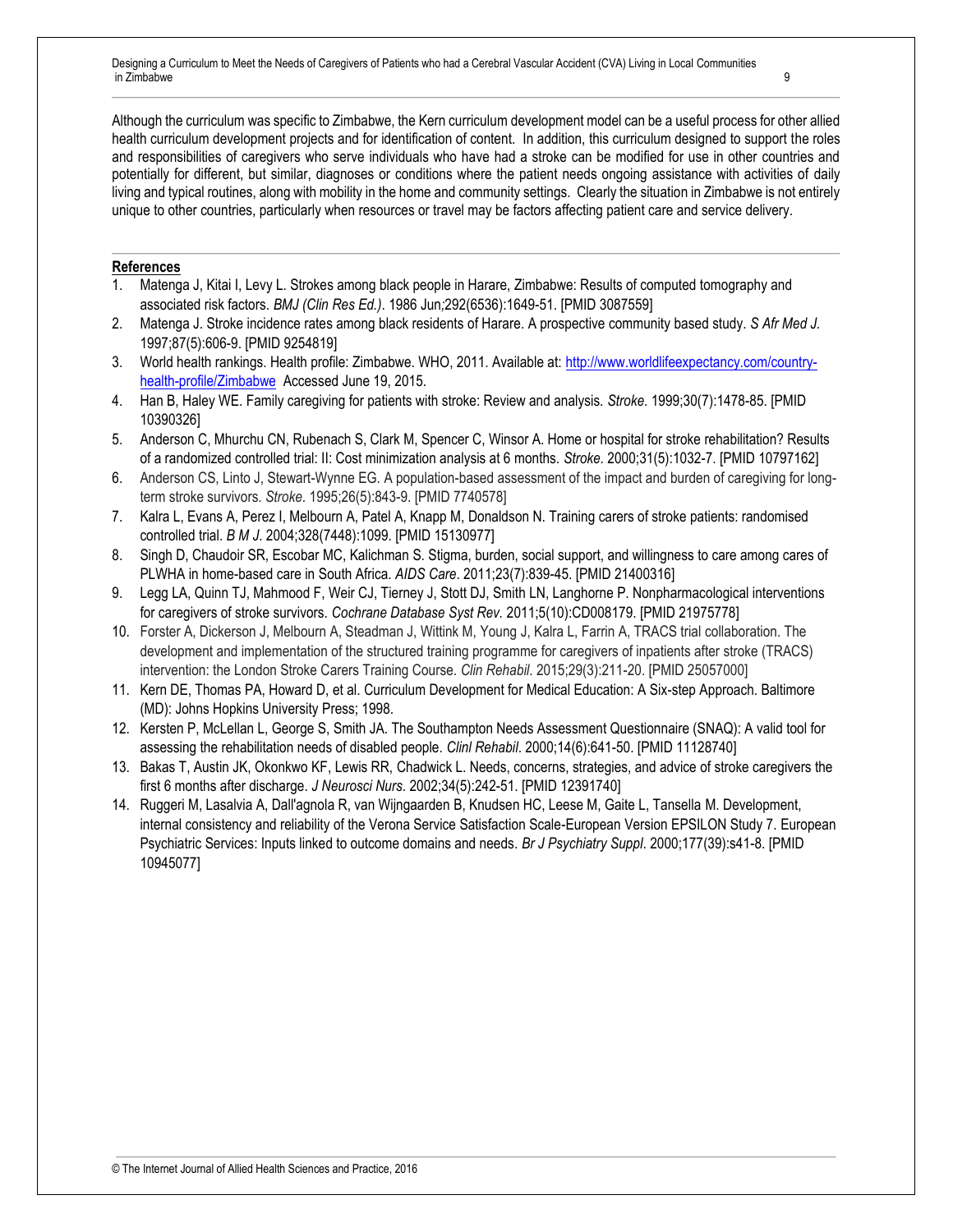Although the curriculum was specific to Zimbabwe, the Kern curriculum development model can be a useful process for other allied health curriculum development projects and for identification of content. In addition, this curriculum designed to support the roles and responsibilities of caregivers who serve individuals who have had a stroke can be modified for use in other countries and potentially for different, but similar, diagnoses or conditions where the patient needs ongoing assistance with activities of daily living and typical routines, along with mobility in the home and community settings. Clearly the situation in Zimbabwe is not entirely unique to other countries, particularly when resources or travel may be factors affecting patient care and service delivery.

#### **References**

- 1. Matenga J, Kitai I, Levy L. Strokes among black people in Harare, Zimbabwe: Results of computed tomography and associated risk factors. *BMJ (Clin Res Ed.)*. 1986 Jun*;*292(6536):1649-51. [PMID 3087559]
- 2. Matenga J. Stroke incidence rates among black residents of Harare. A prospective community based study. *S Afr Med J.*  1997;87(5):606-9. [PMID 9254819]
- 3. World health rankings. Health profile: Zimbabwe. WHO, 2011. Available at: [http://www.worldlifeexpectancy.com/country](http://www.worldlifeexpectancy.com/country-health-profile/Zimbabwe)[health-profile/Zimbabwe](http://www.worldlifeexpectancy.com/country-health-profile/Zimbabwe) Accessed June 19, 2015.
- 4. Han B, Haley WE. Family caregiving for patients with stroke: Review and analysis. *Stroke*. 1999;30(7):1478-85. [PMID 10390326]
- 5. Anderson C, Mhurchu CN, Rubenach S, Clark M, Spencer C, Winsor A. Home or hospital for stroke rehabilitation? Results of a randomized controlled trial: II: Cost minimization analysis at 6 months. *Stroke.* 2000;31(5):1032-7. [PMID 10797162]
- 6. Anderson CS, Linto J, Stewart-Wynne EG. A population-based assessment of the impact and burden of caregiving for longterm stroke survivors. *Stroke*. 1995;26(5):843-9. [PMID 7740578]
- 7. Kalra L, Evans A, Perez I, Melbourn A, Patel A, Knapp M, Donaldson N. Training carers of stroke patients: randomised controlled trial. *B M J*. 2004;328(7448):1099. [PMID 15130977]
- 8. Singh D, Chaudoir SR, Escobar MC, Kalichman S. Stigma, burden, social support, and willingness to care among cares of PLWHA in home-based care in South Africa. *AIDS Care*. 2011;23(7):839-45. [PMID 21400316]
- 9. Legg LA, Quinn TJ, Mahmood F, Weir CJ, Tierney J, Stott DJ, Smith LN, Langhorne P. Nonpharmacological interventions for caregivers of stroke survivors. *Cochrane Database Syst Rev.* 2011;5(10):CD008179. [PMID 21975778]
- 10. Forster A, Dickerson J, Melbourn A, Steadman J, Wittink M, Young J, Kalra L, Farrin A, TRACS trial collaboration. The development and implementation of the structured training programme for caregivers of inpatients after stroke (TRACS) intervention: the London Stroke Carers Training Course. *Clin Rehabil*. 2015;29(3):211-20. [PMID 25057000]
- 11. Kern DE, Thomas PA, Howard D, et al. Curriculum Development for Medical Education: A Six-step Approach. Baltimore (MD): Johns Hopkins University Press; 1998.
- 12. Kersten P, McLellan L, George S, Smith JA. The Southampton Needs Assessment Questionnaire (SNAQ): A valid tool for assessing the rehabilitation needs of disabled people. *Clinl Rehabil*. 2000;14(6):641-50. [PMID 11128740]
- 13. Bakas T, Austin JK, Okonkwo KF, Lewis RR, Chadwick L. Needs, concerns, strategies, and advice of stroke caregivers the first 6 months after discharge. *J Neurosci Nurs*. 2002;34(5):242-51. [PMID 12391740]
- 14. Ruggeri M, Lasalvia A, Dall'agnola R, van Wijngaarden B, Knudsen HC, Leese M, Gaite L, Tansella M. Development, internal consistency and reliability of the Verona Service Satisfaction Scale-European Version EPSILON Study 7. European Psychiatric Services: Inputs linked to outcome domains and needs. *Br J Psychiatry Suppl*. 2000;177(39):s41-8. [PMID 10945077]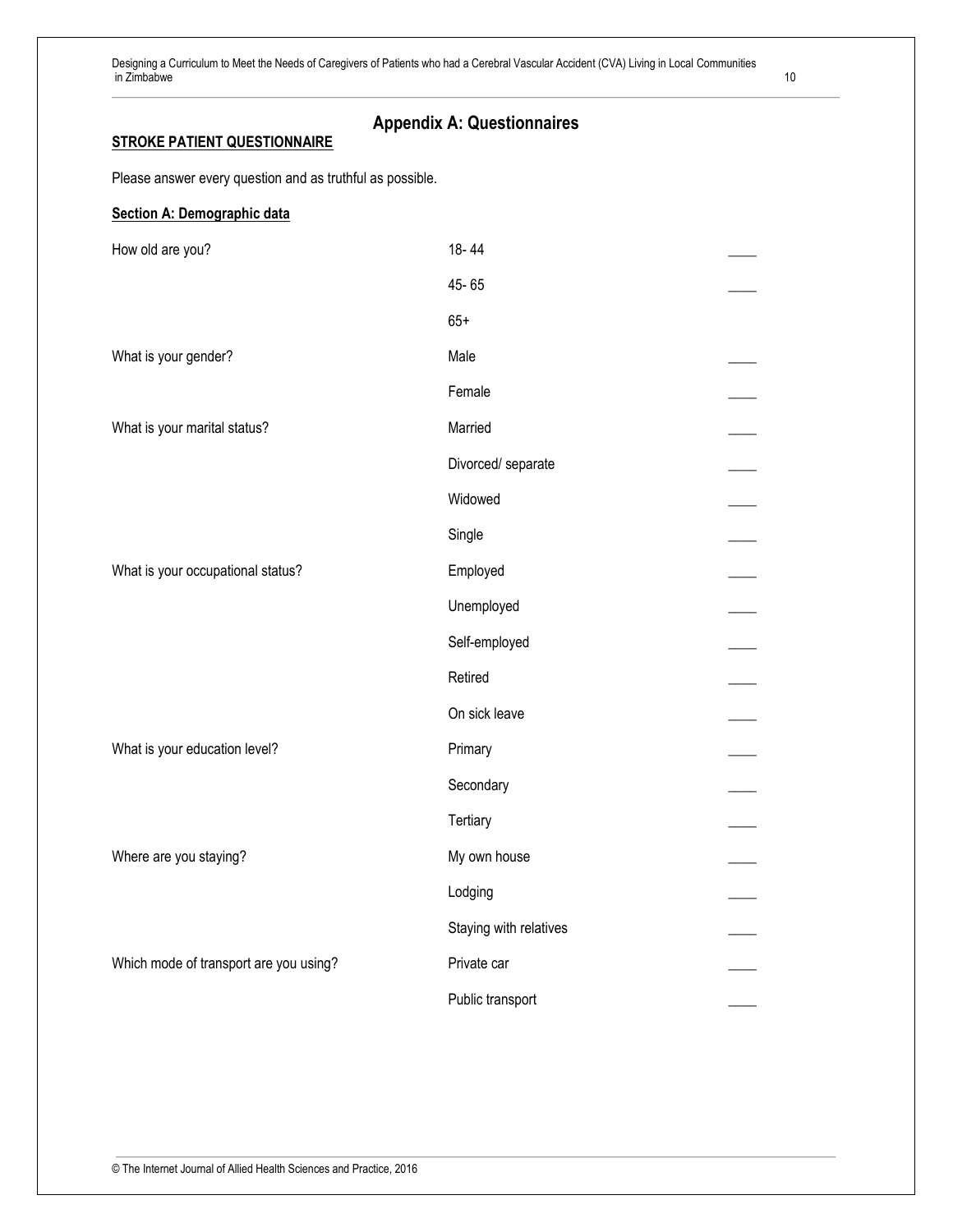#### **Appendix A: Questionnaires STROKE PATIENT QUESTIONNAIRE**

Please answer every question and as truthful as possible.

| Section A: Demographic data            |                        |  |
|----------------------------------------|------------------------|--|
| How old are you?                       | 18-44                  |  |
|                                        | 45-65                  |  |
|                                        | $65+$                  |  |
| What is your gender?                   | Male                   |  |
|                                        | Female                 |  |
| What is your marital status?           | Married                |  |
|                                        | Divorced/ separate     |  |
|                                        | Widowed                |  |
|                                        | Single                 |  |
| What is your occupational status?      | Employed               |  |
|                                        | Unemployed             |  |
|                                        | Self-employed          |  |
|                                        | Retired                |  |
|                                        | On sick leave          |  |
| What is your education level?          | Primary                |  |
|                                        | Secondary              |  |
|                                        | Tertiary               |  |
| Where are you staying?                 | My own house           |  |
|                                        | Lodging                |  |
|                                        | Staying with relatives |  |
| Which mode of transport are you using? | Private car            |  |
|                                        | Public transport       |  |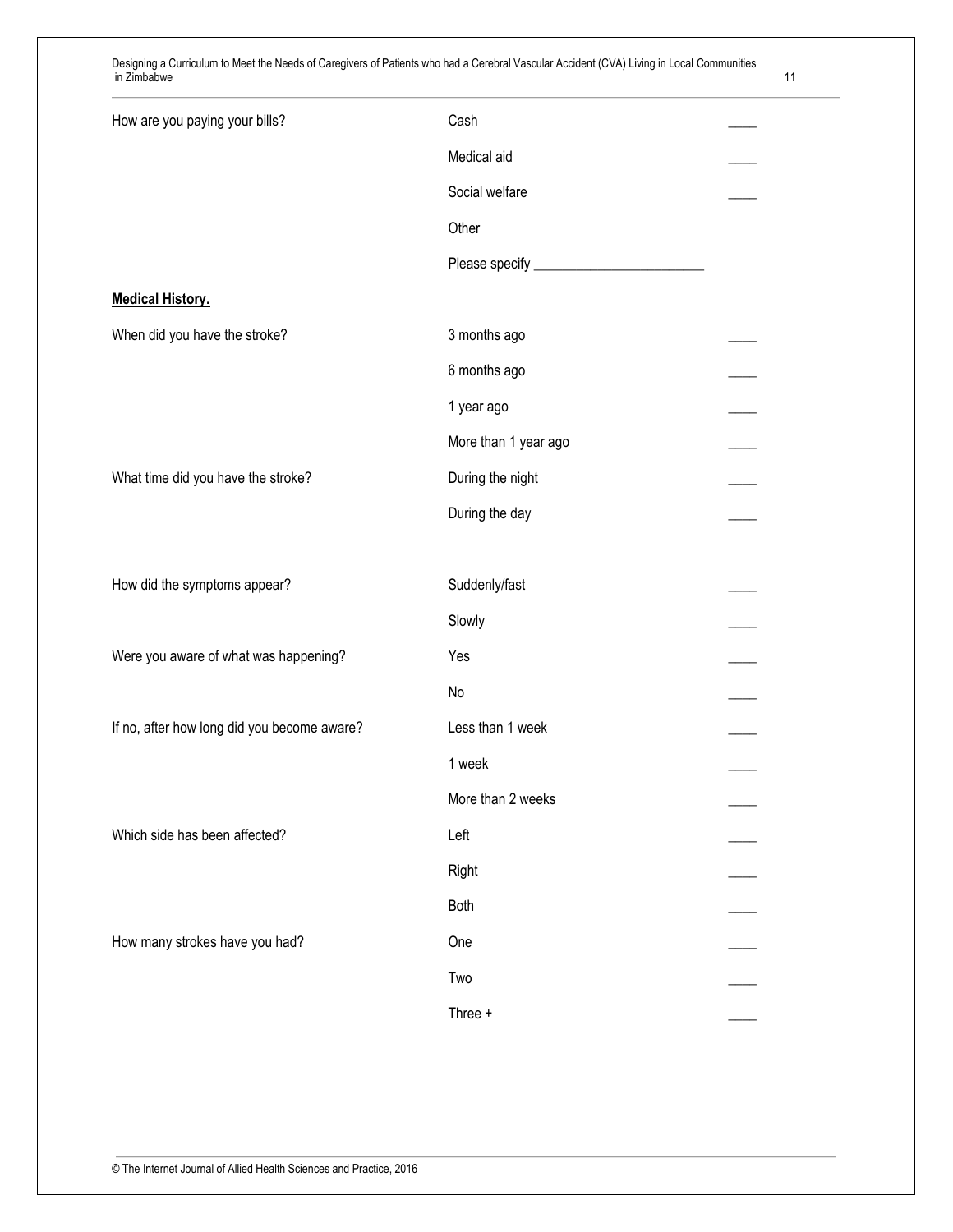| How are you paying your bills?              | Cash                 |  |
|---------------------------------------------|----------------------|--|
|                                             | Medical aid          |  |
|                                             | Social welfare       |  |
|                                             | Other                |  |
|                                             |                      |  |
| <b>Medical History.</b>                     |                      |  |
| When did you have the stroke?               | 3 months ago         |  |
|                                             | 6 months ago         |  |
|                                             | 1 year ago           |  |
|                                             | More than 1 year ago |  |
| What time did you have the stroke?          | During the night     |  |
|                                             | During the day       |  |
|                                             |                      |  |
| How did the symptoms appear?                | Suddenly/fast        |  |
|                                             | Slowly               |  |
| Were you aware of what was happening?       | Yes                  |  |
|                                             | No                   |  |
| If no, after how long did you become aware? | Less than 1 week     |  |
|                                             | 1 week               |  |
|                                             | More than 2 weeks    |  |
| Which side has been affected?               | Left                 |  |
|                                             | Right                |  |
|                                             | Both                 |  |
| How many strokes have you had?              | One                  |  |
|                                             | Two                  |  |
|                                             | Three +              |  |
|                                             |                      |  |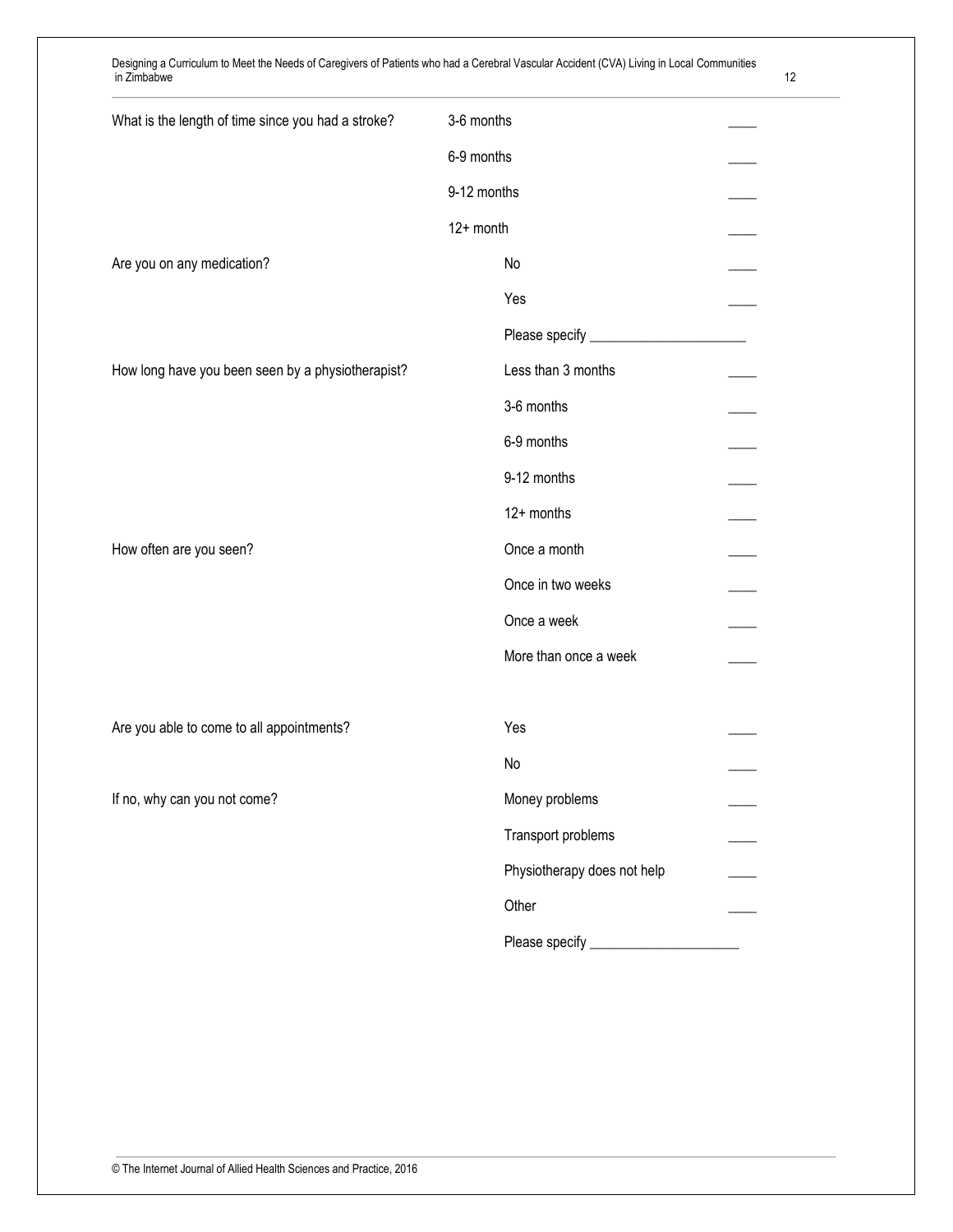| What is the length of time since you had a stroke? | 3-6 months                    |  |
|----------------------------------------------------|-------------------------------|--|
|                                                    | 6-9 months                    |  |
|                                                    | 9-12 months                   |  |
|                                                    | 12+ month                     |  |
| Are you on any medication?                         | No                            |  |
|                                                    | Yes                           |  |
|                                                    | Please specify ______________ |  |
| How long have you been seen by a physiotherapist?  | Less than 3 months            |  |
|                                                    | 3-6 months                    |  |
|                                                    | 6-9 months                    |  |
|                                                    | 9-12 months                   |  |
|                                                    | 12+ months                    |  |
| How often are you seen?                            | Once a month                  |  |
|                                                    | Once in two weeks             |  |
|                                                    | Once a week                   |  |
|                                                    | More than once a week         |  |
|                                                    |                               |  |
| Are you able to come to all appointments?          | Yes                           |  |
|                                                    | No                            |  |
| If no, why can you not come?                       | Money problems                |  |
|                                                    | Transport problems            |  |
|                                                    | Physiotherapy does not help   |  |
|                                                    | Other                         |  |
|                                                    |                               |  |
|                                                    |                               |  |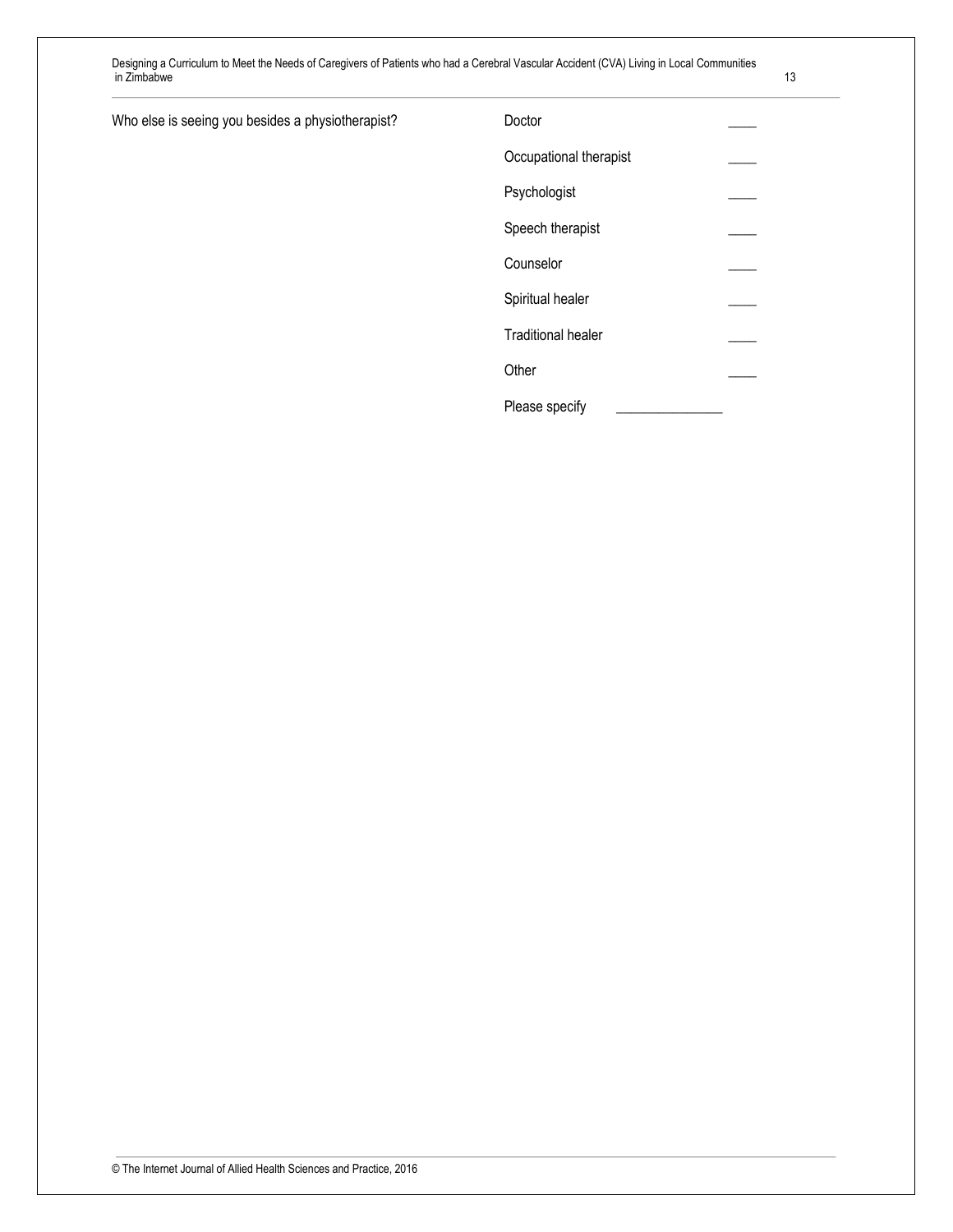| Who else is seeing you besides a physiotherapist? | Doctor                 |  |
|---------------------------------------------------|------------------------|--|
|                                                   | Occupational therapist |  |
|                                                   | Psychologist           |  |

Speech therapist \_\_\_\_

Spiritual healer

Traditional healer \_\_\_\_

Please specify

Counselor \_\_\_\_

Other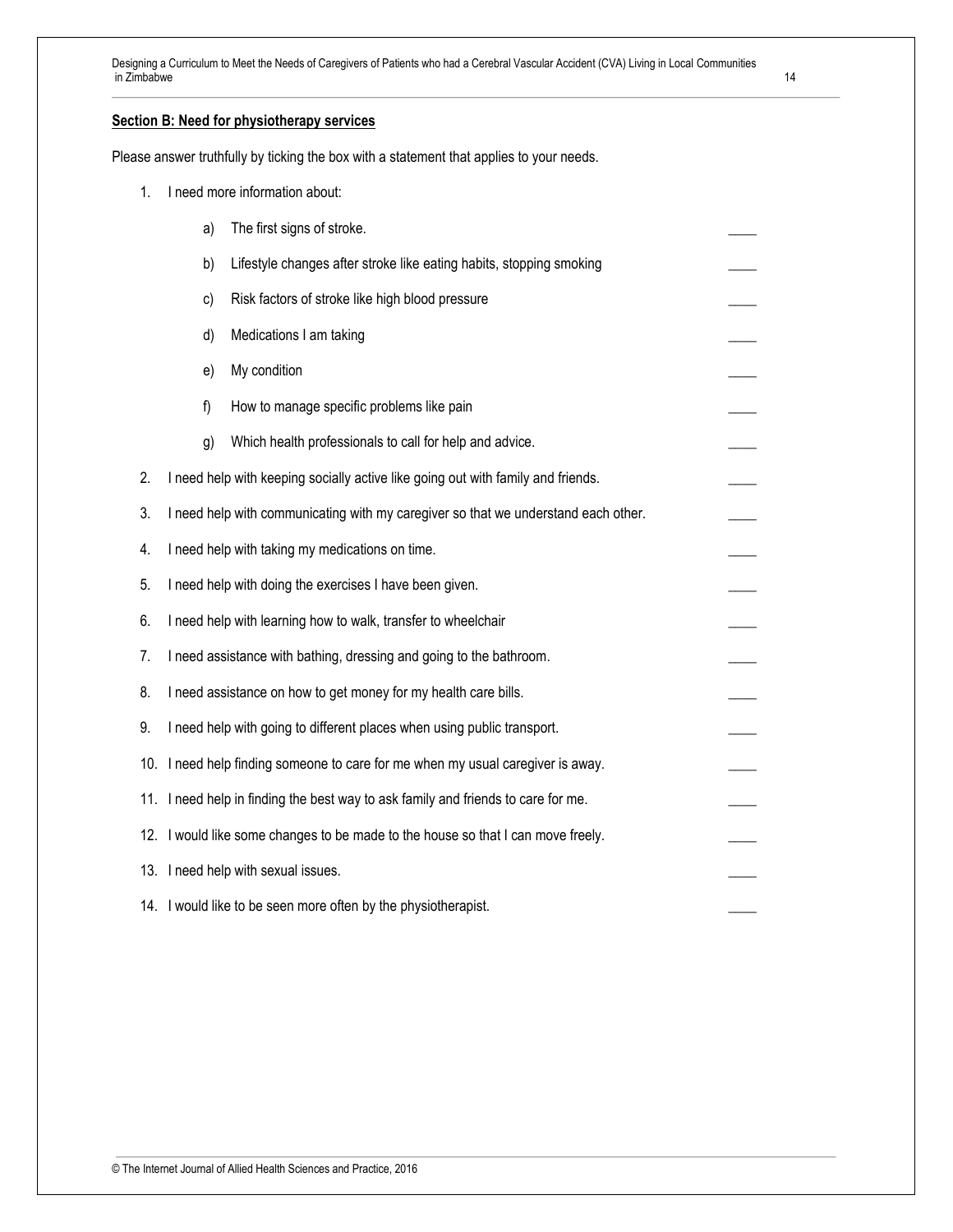#### **Section B: Need for physiotherapy services**

Please answer truthfully by ticking the box with a statement that applies to your needs.

| 1.  |                                                                             | I need more information about:                                                     |  |  |
|-----|-----------------------------------------------------------------------------|------------------------------------------------------------------------------------|--|--|
|     | a)                                                                          | The first signs of stroke.                                                         |  |  |
|     | b)                                                                          | Lifestyle changes after stroke like eating habits, stopping smoking                |  |  |
|     | c)                                                                          | Risk factors of stroke like high blood pressure                                    |  |  |
|     | d)                                                                          | Medications I am taking                                                            |  |  |
|     | e)                                                                          | My condition                                                                       |  |  |
|     | f)                                                                          | How to manage specific problems like pain                                          |  |  |
|     | g)                                                                          | Which health professionals to call for help and advice.                            |  |  |
| 2.  |                                                                             | I need help with keeping socially active like going out with family and friends.   |  |  |
| 3.  |                                                                             | I need help with communicating with my caregiver so that we understand each other. |  |  |
| 4.  | I need help with taking my medications on time.                             |                                                                                    |  |  |
| 5.  |                                                                             | I need help with doing the exercises I have been given.                            |  |  |
| 6.  |                                                                             | I need help with learning how to walk, transfer to wheelchair                      |  |  |
| 7.  |                                                                             | I need assistance with bathing, dressing and going to the bathroom.                |  |  |
| 8.  |                                                                             | I need assistance on how to get money for my health care bills.                    |  |  |
| 9.  |                                                                             | I need help with going to different places when using public transport.            |  |  |
| 10. | I need help finding someone to care for me when my usual caregiver is away. |                                                                                    |  |  |
| 11. |                                                                             | I need help in finding the best way to ask family and friends to care for me.      |  |  |
| 12. |                                                                             | I would like some changes to be made to the house so that I can move freely.       |  |  |
|     |                                                                             | 13. I need help with sexual issues.                                                |  |  |
|     |                                                                             | 14. I would like to be seen more often by the physiotherapist.                     |  |  |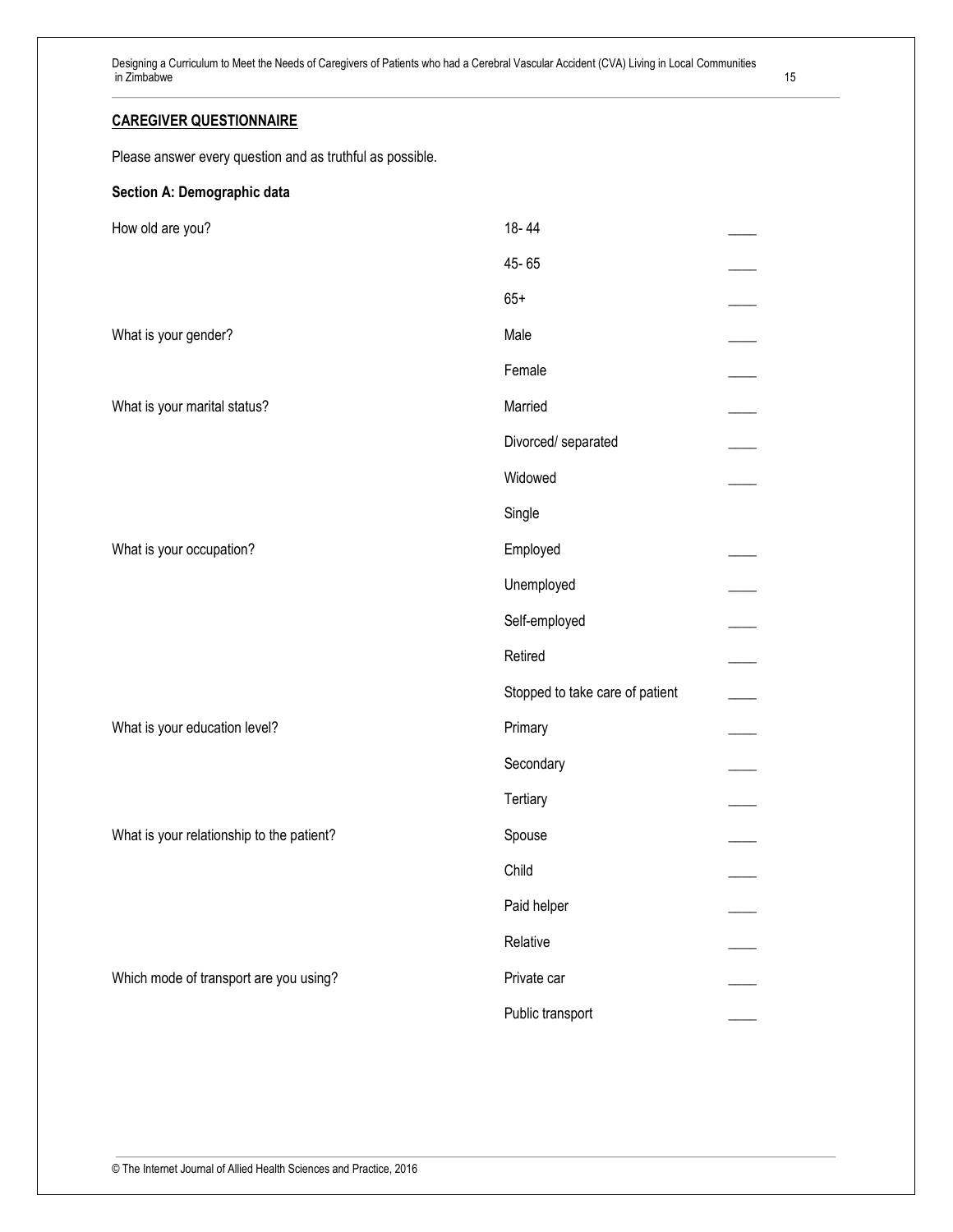#### **CAREGIVER QUESTIONNAIRE**

Please answer every question and as truthful as possible.

### **Section A: Demographic data**

| How old are you?                          | 18-44                           |  |
|-------------------------------------------|---------------------------------|--|
|                                           | 45-65                           |  |
|                                           | $65+$                           |  |
| What is your gender?                      | Male                            |  |
|                                           | Female                          |  |
| What is your marital status?              | Married                         |  |
|                                           | Divorced/ separated             |  |
|                                           | Widowed                         |  |
|                                           | Single                          |  |
| What is your occupation?                  | Employed                        |  |
|                                           | Unemployed                      |  |
|                                           | Self-employed                   |  |
|                                           | Retired                         |  |
|                                           | Stopped to take care of patient |  |
| What is your education level?             | Primary                         |  |
|                                           | Secondary                       |  |
|                                           | Tertiary                        |  |
| What is your relationship to the patient? | Spouse                          |  |
|                                           | Child                           |  |
|                                           | Paid helper                     |  |
|                                           | Relative                        |  |
| Which mode of transport are you using?    | Private car                     |  |
|                                           | Public transport                |  |
|                                           |                                 |  |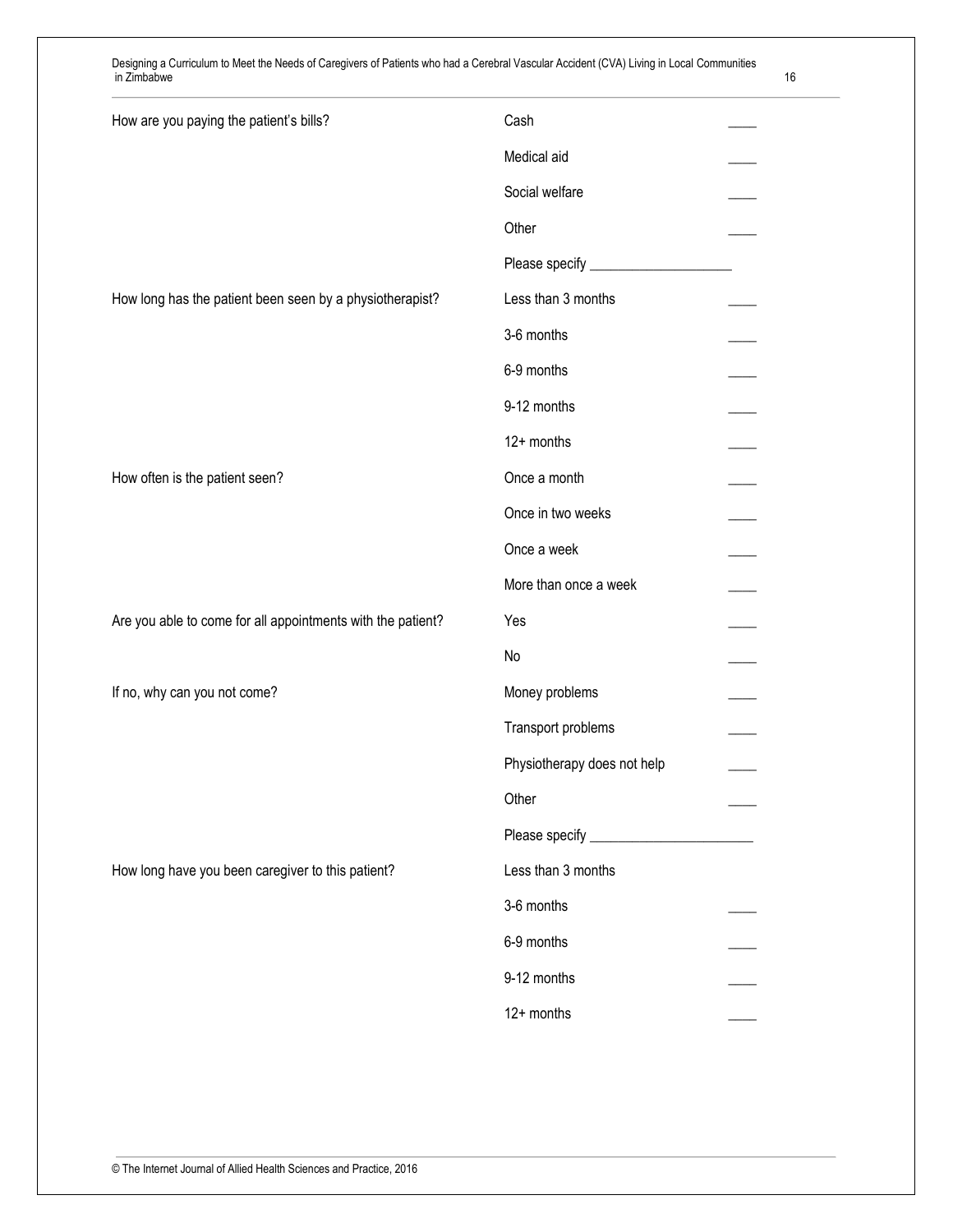| How are you paying the patient's bills?                     | Cash                        |  |
|-------------------------------------------------------------|-----------------------------|--|
|                                                             | Medical aid                 |  |
|                                                             | Social welfare              |  |
|                                                             | Other                       |  |
|                                                             |                             |  |
| How long has the patient been seen by a physiotherapist?    | Less than 3 months          |  |
|                                                             | 3-6 months                  |  |
|                                                             | 6-9 months                  |  |
|                                                             | 9-12 months                 |  |
|                                                             | 12+ months                  |  |
| How often is the patient seen?                              | Once a month                |  |
|                                                             | Once in two weeks           |  |
|                                                             | Once a week                 |  |
|                                                             | More than once a week       |  |
| Are you able to come for all appointments with the patient? | Yes                         |  |
|                                                             | No                          |  |
| If no, why can you not come?                                | Money problems              |  |
|                                                             | Transport problems          |  |
|                                                             | Physiotherapy does not help |  |
|                                                             | Other                       |  |
|                                                             |                             |  |
| How long have you been caregiver to this patient?           | Less than 3 months          |  |
|                                                             | 3-6 months                  |  |
|                                                             | 6-9 months                  |  |
|                                                             | 9-12 months                 |  |
|                                                             | 12+ months                  |  |
|                                                             |                             |  |

© The Internet Journal of Allied Health Sciences and Practice, 2016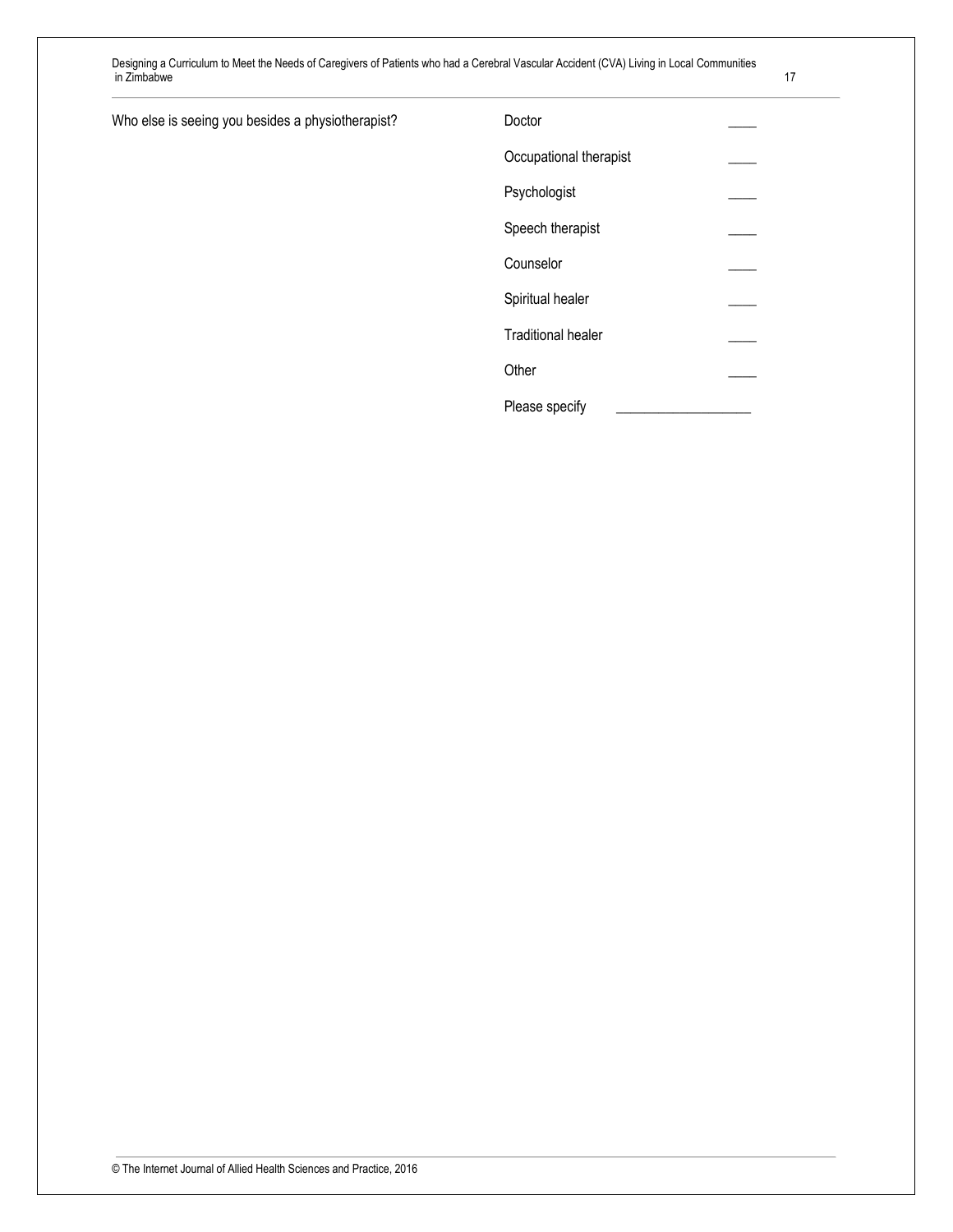|  |  | I<br>I |  |  |
|--|--|--------|--|--|
|  |  |        |  |  |
|  |  |        |  |  |

| Who else is seeing you besides a physiotherapist? |  | Doctor |
|---------------------------------------------------|--|--------|
|                                                   |  |        |

| Doctor                    |  |
|---------------------------|--|
| Occupational therapist    |  |
| Psychologist              |  |
| Speech therapist          |  |
| Counselor                 |  |
| Spiritual healer          |  |
| <b>Traditional healer</b> |  |
| Other                     |  |
| Please specify            |  |

© The Internet Journal of Allied Health Sciences and Practice, 2016